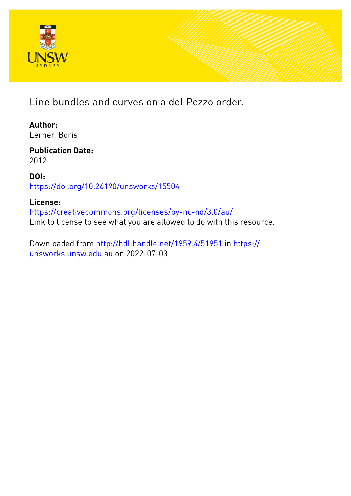

Line bundles and curves on a del Pezzo order.

**Author:** Lerner, Boris

**Publication Date:** 2012

**DOI:** [https://doi.org/10.26190/unsworks/15504](http://dx.doi.org/https://doi.org/10.26190/unsworks/15504)

#### **License:**

<https://creativecommons.org/licenses/by-nc-nd/3.0/au/> Link to license to see what you are allowed to do with this resource.

Downloaded from <http://hdl.handle.net/1959.4/51951> in [https://](https://unsworks.unsw.edu.au) [unsworks.unsw.edu.au](https://unsworks.unsw.edu.au) on 2022-07-03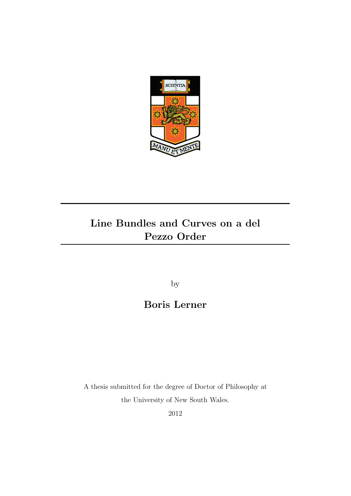

### Line Bundles and Curves on a del Pezzo Order

by

### Boris Lerner

A thesis submitted for the degree of Doctor of Philosophy at the University of New South Wales.

2012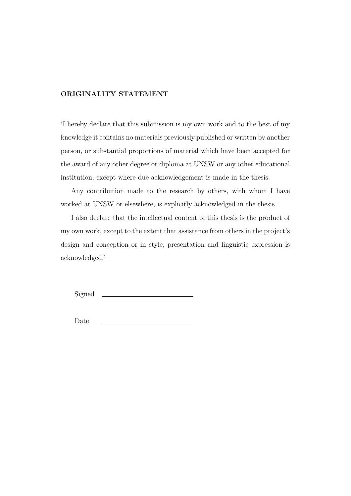#### ORIGINALITY STATEMENT

'I hereby declare that this submission is my own work and to the best of my knowledge it contains no materials previously published or written by another person, or substantial proportions of material which have been accepted for the award of any other degree or diploma at UNSW or any other educational institution, except where due acknowledgement is made in the thesis.

Any contribution made to the research by others, with whom I have worked at UNSW or elsewhere, is explicitly acknowledged in the thesis.

I also declare that the intellectual content of this thesis is the product of my own work, except to the extent that assistance from others in the project's design and conception or in style, presentation and linguistic expression is acknowledged.'

Signed

Date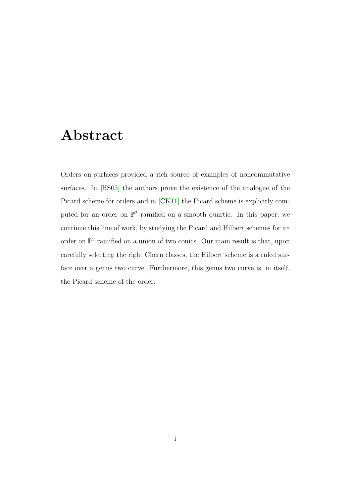### Abstract

Orders on surfaces provided a rich source of examples of noncommutative surfaces. In [\[HS05\]](#page-78-0) the authors prove the existence of the analogue of the Picard scheme for orders and in [\[CK11\]](#page-77-0) the Picard scheme is explicitly computed for an order on  $\mathbb{P}^2$  ramified on a smooth quartic. In this paper, we continue this line of work, by studying the Picard and Hilbert schemes for an order on  $\mathbb{P}^2$  ramified on a union of two conics. Our main result is that, upon carefully selecting the right Chern classes, the Hilbert scheme is a ruled surface over a genus two curve. Furthermore, this genus two curve is, in itself, the Picard scheme of the order.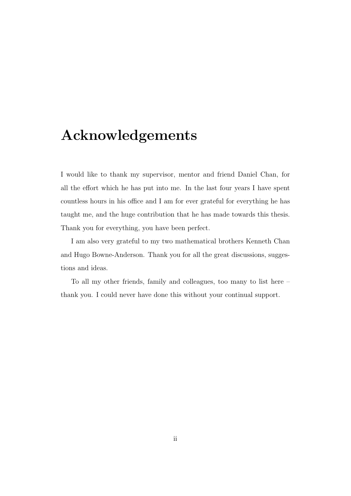### Acknowledgements

I would like to thank my supervisor, mentor and friend Daniel Chan, for all the effort which he has put into me. In the last four years I have spent countless hours in his office and I am for ever grateful for everything he has taught me, and the huge contribution that he has made towards this thesis. Thank you for everything, you have been perfect.

I am also very grateful to my two mathematical brothers Kenneth Chan and Hugo Bowne-Anderson. Thank you for all the great discussions, suggestions and ideas.

To all my other friends, family and colleagues, too many to list here – thank you. I could never have done this without your continual support.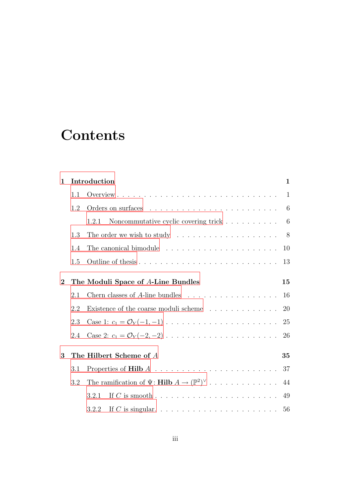# **Contents**

| $\mathbf{1}$                                      |     | Introduction                                                                                | $\mathbf{1}$ |  |  |  |
|---------------------------------------------------|-----|---------------------------------------------------------------------------------------------|--------------|--|--|--|
|                                                   | 1.1 |                                                                                             | 1            |  |  |  |
|                                                   | 1.2 |                                                                                             | 6            |  |  |  |
|                                                   |     | Noncommutative cyclic covering trick<br>1.2.1                                               | 6            |  |  |  |
|                                                   | 1.3 | The order we wish to study $\dots \dots \dots \dots \dots \dots$                            | 8            |  |  |  |
|                                                   | 1.4 | The canonical bimodule $\ldots \ldots \ldots \ldots \ldots \ldots \ldots$                   | 10           |  |  |  |
|                                                   | 1.5 |                                                                                             | 13           |  |  |  |
| The Moduli Space of A-Line Bundles<br>$\mathbf 2$ |     |                                                                                             |              |  |  |  |
|                                                   | 2.1 | Chern classes of A-line bundles $\ldots \ldots \ldots \ldots \ldots$                        | 16           |  |  |  |
|                                                   | 2.2 | Existence of the coarse moduli scheme                                                       | 20           |  |  |  |
|                                                   | 2.3 |                                                                                             | 25           |  |  |  |
|                                                   | 2.4 | Case 2: $c_1 = \mathcal{O}_Y(-2, -2) \dots \dots \dots \dots \dots \dots \dots \dots \dots$ | 26           |  |  |  |
| 3                                                 |     | The Hilbert Scheme of A<br>35                                                               |              |  |  |  |
|                                                   | 3.1 |                                                                                             |              |  |  |  |
| 3.2                                               |     | The ramification of $\Psi$ : <b>Hilb</b> $A \to (\mathbb{P}^2)^{\vee}$ 44                   |              |  |  |  |
|                                                   |     | 3.2.1                                                                                       |              |  |  |  |
|                                                   |     | 3.2.2                                                                                       |              |  |  |  |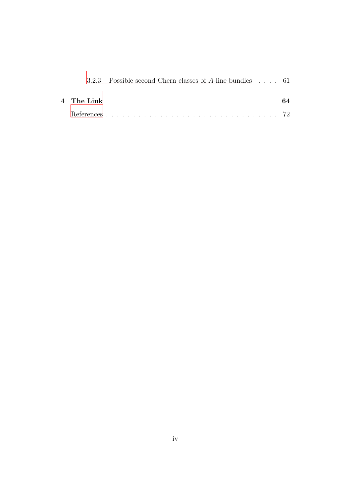|            | 3.2.3 Possible second Chern classes of A-line bundles $\ldots$ 61 |    |
|------------|-------------------------------------------------------------------|----|
| 4 The Link |                                                                   | 64 |
|            |                                                                   |    |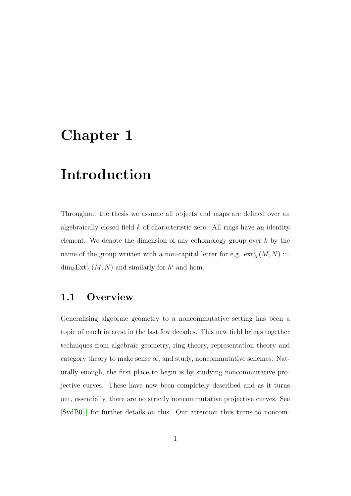## <span id="page-7-0"></span>Chapter 1

# Introduction

Throughout the thesis we assume all objects and maps are defined over an algebraically closed field  $k$  of characteristic zero. All rings have an identity element. We denote the dimension of any cohomology group over  $k$  by the name of the group written with a non-capital letter for e.g.  $ext_A^i(M, N) :=$  $\dim_k \mathrm{Ext}^i_A(M,N)$  and similarly for  $h^i$  and hom.

#### <span id="page-7-1"></span>1.1 Overview

Generalising algebraic geometry to a noncommutative setting has been a topic of much interest in the last few decades. This new field brings together techniques from algebraic geometry, ring theory, representation theory and category theory to make sense of, and study, noncommutative schemes. Naturally enough, the first place to begin is by studying noncommutative projective curves. These have now been completely described and as it turns out, essentially, there are no strictly noncommutative projective curves. See [\[SvdB01\]](#page-78-1) for further details on this. Our attention thus turns to noncom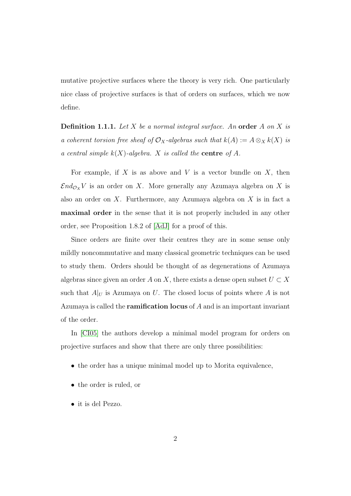mutative projective surfaces where the theory is very rich. One particularly nice class of projective surfaces is that of orders on surfaces, which we now define.

Definition 1.1.1. *Let* X *be a normal integral surface. An* order A *on* X *is a coherent torsion free sheaf of*  $\mathcal{O}_X$ -algebras such that  $k(A) := A \otimes_X k(X)$  is *a central simple* k(X)*-algebra.* X *is called the* centre *of* A*.*

For example, if X is as above and V is a vector bundle on  $X$ , then  $\mathcal{E}nd_{\mathcal{O}_X}V$  is an order on X. More generally any Azumaya algebra on X is also an order on  $X$ . Furthermore, any Azumaya algebra on  $X$  is in fact a maximal order in the sense that it is not properly included in any other order, see Proposition 1.8.2 of [\[AdJ\]](#page-76-1) for a proof of this.

Since orders are finite over their centres they are in some sense only mildly noncommutative and many classical geometric techniques can be used to study them. Orders should be thought of as degenerations of Azumaya algebras since given an order A on X, there exists a dense open subset  $U \subset X$ such that  $A|_U$  is Azumaya on U. The closed locus of points where A is not Azumaya is called the **ramification locus** of  $A$  and is an important invariant of the order.

In [\[CI05\]](#page-77-1) the authors develop a minimal model program for orders on projective surfaces and show that there are only three possibilities:

- the order has a unique minimal model up to Morita equivalence,
- the order is ruled, or
- it is del Pezzo.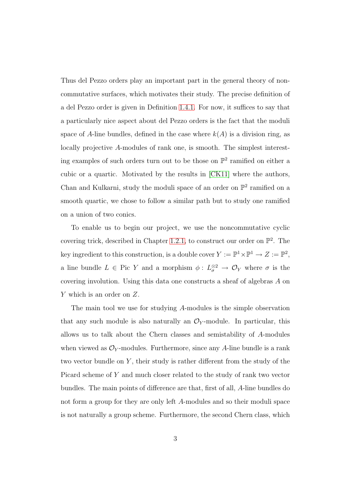Thus del Pezzo orders play an important part in the general theory of noncommutative surfaces, which motivates their study. The precise definition of a del Pezzo order is given in Definition [1.4.1.](#page-17-0) For now, it suffices to say that a particularly nice aspect about del Pezzo orders is the fact that the moduli space of A-line bundles, defined in the case where  $k(A)$  is a division ring, as locally projective A-modules of rank one, is smooth. The simplest interesting examples of such orders turn out to be those on  $\mathbb{P}^2$  ramified on either a cubic or a quartic. Motivated by the results in [\[CK11\]](#page-77-0) where the authors, Chan and Kulkarni, study the moduli space of an order on  $\mathbb{P}^2$  ramified on a smooth quartic, we chose to follow a similar path but to study one ramified on a union of two conics.

To enable us to begin our project, we use the noncommutative cyclic covering trick, described in Chapter [1.2.1,](#page-12-1) to construct our order on  $\mathbb{P}^2$ . The key ingredient to this construction, is a double cover  $Y := \mathbb{P}^1 \times \mathbb{P}^1 \to Z := \mathbb{P}^2$ , a line bundle  $L \in Pic Y$  and a morphism  $\phi: L^{\otimes 2}_{\sigma} \to \mathcal{O}_Y$  where  $\sigma$  is the covering involution. Using this data one constructs a sheaf of algebras A on Y which is an order on Z.

The main tool we use for studying A-modules is the simple observation that any such module is also naturally an  $\mathcal{O}_Y$ -module. In particular, this allows us to talk about the Chern classes and semistability of A-modules when viewed as  $\mathcal{O}_Y$ -modules. Furthermore, since any A-line bundle is a rank two vector bundle on  $Y$ , their study is rather different from the study of the Picard scheme of Y and much closer related to the study of rank two vector bundles. The main points of difference are that, first of all, A-line bundles do not form a group for they are only left A-modules and so their moduli space is not naturally a group scheme. Furthermore, the second Chern class, which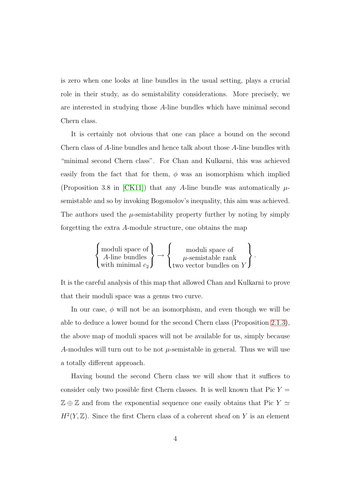is zero when one looks at line bundles in the usual setting, plays a crucial role in their study, as do semistability considerations. More precisely, we are interested in studying those A-line bundles which have minimal second Chern class.

It is certainly not obvious that one can place a bound on the second Chern class of A-line bundles and hence talk about those A-line bundles with "minimal second Chern class". For Chan and Kulkarni, this was achieved easily from the fact that for them,  $\phi$  was an isomorphism which implied (Proposition 3.8 in [\[CK11\]](#page-77-0)) that any A-line bundle was automatically  $\mu$ semistable and so by invoking Bogomolov's inequality, this aim was achieved. The authors used the  $\mu$ -semistability property further by noting by simply forgetting the extra A-module structure, one obtains the map

$$
\left\{\begin{matrix}\text{moduli space of} \\ A\text{-line bundles} \\ \text{with minimal } c_2\end{matrix}\right\} \rightarrow \left\{\begin{matrix}\text{moduli space of} \\ \mu\text{-semistable rank} \\ \text{two vector bundles on } Y\end{matrix}\right\}.
$$

It is the careful analysis of this map that allowed Chan and Kulkarni to prove that their moduli space was a genus two curve.

In our case,  $\phi$  will not be an isomorphism, and even though we will be able to deduce a lower bound for the second Chern class (Proposition [2.1.3\)](#page-25-0), the above map of moduli spaces will not be available for us, simply because A-modules will turn out to be not  $\mu$ -semistable in general. Thus we will use a totally different approach.

Having bound the second Chern class we will show that it suffices to consider only two possible first Chern classes. It is well known that Pic  $Y =$  $\mathbb{Z} \oplus \mathbb{Z}$  and from the exponential sequence one easily obtains that Pic  $Y \simeq$  $H<sup>2</sup>(Y, Z)$ . Since the first Chern class of a coherent sheaf on Y is an element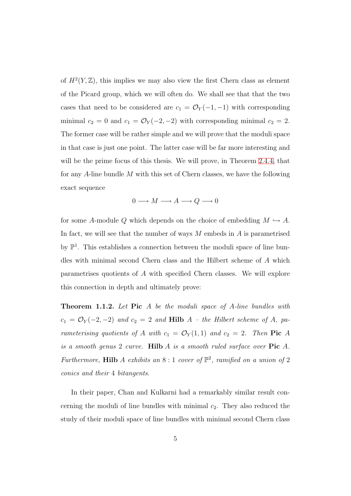of  $H^2(Y,\mathbb{Z})$ , this implies we may also view the first Chern class as element of the Picard group, which we will often do. We shall see that that the two cases that need to be considered are  $c_1 = \mathcal{O}_Y(-1, -1)$  with corresponding minimal  $c_2 = 0$  and  $c_1 = \mathcal{O}_Y(-2, -2)$  with corresponding minimal  $c_2 = 2$ . The former case will be rather simple and we will prove that the moduli space in that case is just one point. The latter case will be far more interesting and will be the prime focus of this thesis. We will prove, in Theorem [2.4.4,](#page-36-0) that for any A-line bundle M with this set of Chern classes, we have the following exact sequence

$$
0 \longrightarrow M \longrightarrow A \longrightarrow Q \longrightarrow 0
$$

for some A-module Q which depends on the choice of embedding  $M \hookrightarrow A$ . In fact, we will see that the number of ways  $M$  embeds in  $A$  is parametrised by  $\mathbb{P}^1$ . This establishes a connection between the moduli space of line bundles with minimal second Chern class and the Hilbert scheme of A which parametrises quotients of A with specified Chern classes. We will explore this connection in depth and ultimately prove:

<span id="page-11-0"></span>Theorem 1.1.2. *Let* Pic A *be the moduli space of* A*-line bundles with*  $c_1 = \mathcal{O}_Y(-2, -2)$  and  $c_2 = 2$  and **Hilb**  $A - the Hilbert scheme of A, pa$ *rameterising quotients of* A *with*  $c_1 = \mathcal{O}_Y(1,1)$  *and*  $c_2 = 2$ *. Then* Pic A *is a smooth genus* 2 *curve.* Hilb A *is a smooth ruled surface over* Pic A*.* Furthermore, **Hilb** A exhibits an  $8:1$  cover of  $\mathbb{P}^2$ , ramified on a union of 2 *conics and their* 4 *bitangents.*

In their paper, Chan and Kulkarni had a remarkably similar result concerning the moduli of line bundles with minimal  $c_2$ . They also reduced the study of their moduli space of line bundles with minimal second Chern class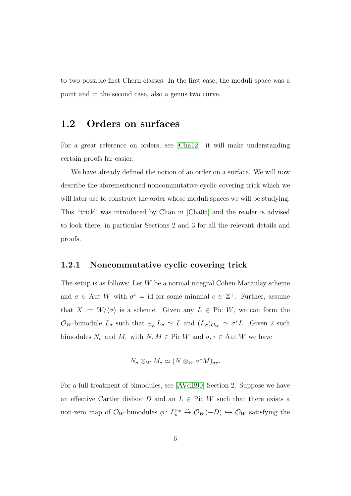<span id="page-12-0"></span>to two possible first Chern classes. In the first case, the moduli space was a point and in the second case, also a genus two curve.

#### 1.2 Orders on surfaces

For a great reference on orders, see [\[Cha12\]](#page-77-2), it will make understanding certain proofs far easier.

We have already defined the notion of an order on a surface. We will now describe the aforementioned noncommutative cyclic covering trick which we will later use to construct the order whose moduli spaces we will be studying. This "trick" was introduced by Chan in [\[Cha05\]](#page-76-2) and the reader is advised to look there, in particular Sections 2 and 3 for all the relevant details and proofs.

#### <span id="page-12-1"></span>1.2.1 Noncommutative cyclic covering trick

The setup is as follows: Let  $W$  be a normal integral Cohen-Macaulay scheme and  $\sigma \in$  Aut W with  $\sigma^e = id$  for some minimal  $e \in \mathbb{Z}^+$ . Further, assume that  $X := W/\langle \sigma \rangle$  is a scheme. Given any  $L \in Pic W$ , we can form the  $\mathcal{O}_W$ -bimodule  $L_{\sigma}$  such that  $_{\mathcal{O}_W} L_{\sigma} \simeq L$  and  $(L_{\sigma})_{\mathcal{O}_W} \simeq \sigma^* L$ . Given 2 such bimodules  $N_{\sigma}$  and  $M_{\tau}$  with  $N, M \in$  Pic W and  $\sigma, \tau \in$  Aut W we have

$$
N_{\sigma} \otimes_{W} M_{\tau} \simeq (N \otimes_{W} \sigma^{*} M)_{\sigma \tau}.
$$

For a full treatment of bimodules, see [\[AVdB90\]](#page-76-3) Section 2. Suppose we have an effective Cartier divisor D and an  $L \in$  Pic W such that there exists a non-zero map of  $\mathcal{O}_W$ -bimodules  $\phi: L^{\otimes e}_\sigma \overset{\sim}{\to} \mathcal{O}_W(-D) \hookrightarrow \mathcal{O}_W$  satisfying the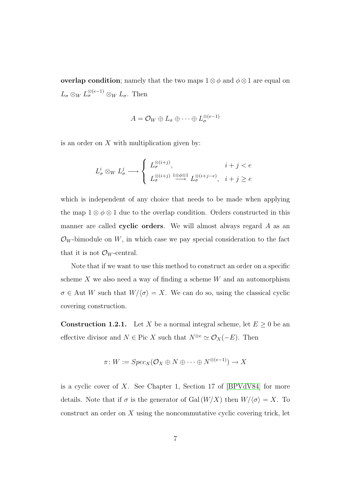overlap condition; namely that the two maps  $1 \otimes \phi$  and  $\phi \otimes 1$  are equal on  $L_{\sigma} \otimes_{W} L_{\sigma}^{\otimes (e-1)} \otimes_{W} L_{\sigma}$ . Then

$$
A = \mathcal{O}_W \oplus L_{\sigma} \oplus \cdots \oplus L_{\sigma}^{\otimes (e-1)}
$$

is an order on  $X$  with multiplication given by:

$$
L^i_{\sigma} \otimes_W L^j_{\sigma} \longrightarrow \begin{cases} L^{\otimes (i+j)}_{\sigma}, & i+j < e \\ L^{\otimes (i+j)}_{\sigma} \xrightarrow{1 \otimes \phi \otimes 1} L^{\otimes (i+j-e)}_{\sigma}, & i+j \ge e \end{cases}
$$

which is independent of any choice that needs to be made when applying the map  $1 \otimes \phi \otimes 1$  due to the overlap condition. Orders constructed in this manner are called cyclic orders. We will almost always regard  $A$  as an  $\mathcal{O}_W$ -bimodule on W, in which case we pay special consideration to the fact that it is not  $\mathcal{O}_W$ -central.

Note that if we want to use this method to construct an order on a specific scheme  $X$  we also need a way of finding a scheme  $W$  and an automorphism  $\sigma \in$  Aut W such that  $W/\langle \sigma \rangle = X$ . We can do so, using the classical cyclic covering construction.

<span id="page-13-0"></span>**Construction 1.2.1.** Let X be a normal integral scheme, let  $E \ge 0$  be an effective divisor and  $N \in \text{Pic } X$  such that  $N^{\otimes e} \simeq \mathcal{O}_X(-E)$ . Then

$$
\pi\colon W:=Spec_X(\mathcal{O}_X\oplus N\oplus\cdots\oplus N^{\otimes(e-1)})\to X
$$

is a cyclic cover of  $X$ . See Chapter 1, Section 17 of [\[BPVdV84\]](#page-76-4) for more details. Note that if  $\sigma$  is the generator of Gal  $(W/X)$  then  $W/\langle \sigma \rangle = X$ . To construct an order on  $X$  using the noncommutative cyclic covering trick, let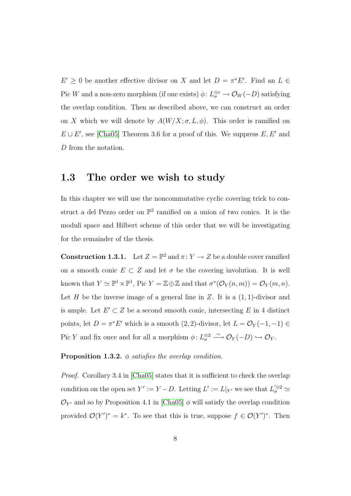$E' \geq 0$  be another effective divisor on X and let  $D = \pi^* E'$ . Find an  $L \in$ Pic W and a non-zero morphism (if one exists)  $\phi: L^{\otimes e}_{\sigma} \to \mathcal{O}_W(-D)$  satisfying the overlap condition. Then as described above, we can construct an order on X which we will denote by  $A(W/X; \sigma, L, \phi)$ . This order is ramified on  $E \cup E'$ , see [\[Cha05\]](#page-76-2) Theorem 3.6 for a proof of this. We suppress  $E, E'$  and D from the notation.

#### <span id="page-14-0"></span>1.3 The order we wish to study

In this chapter we will use the noncommutative cyclic covering trick to construct a del Pezzo order on  $\mathbb{P}^2$  ramified on a union of two conics. It is the moduli space and Hilbert scheme of this order that we will be investigating for the remainder of the thesis.

<span id="page-14-1"></span>**Construction 1.3.1.** Let  $Z = \mathbb{P}^2$  and  $\pi: Y \to Z$  be a double cover ramified on a smooth conic  $E \subset Z$  and let  $\sigma$  be the covering involution. It is well known that  $Y \simeq \mathbb{P}^1 \times \mathbb{P}^1$ , Pic  $Y = \mathbb{Z} \oplus \mathbb{Z}$  and that  $\sigma^*(\mathcal{O}_Y(n,m)) = \mathcal{O}_Y(m,n)$ . Let H be the inverse image of a general line in Z. It is a  $(1, 1)$ -divisor and is ample. Let  $E' \subset Z$  be a second smooth conic, intersecting E in 4 distinct points, let  $D = \pi^* E'$  which is a smooth  $(2, 2)$ -divisor, let  $L = \mathcal{O}_Y(-1, -1) \in$ Pic Y and fix once and for all a morphism  $\phi: L^{\otimes 2}_{\sigma} \longrightarrow \mathcal{O}_Y(-D) \hookrightarrow \mathcal{O}_Y$ .

Proposition 1.3.2. φ *satisfies the overlap condition.*

*Proof.* Corollary 3.4 in [\[Cha05\]](#page-76-2) states that it is sufficient to check the overlap condition on the open set  $Y' := Y - D$ . Letting  $L' := L|_{Y'}$  we see that  $L_{\sigma}^{'\otimes 2} \simeq$  $\mathcal{O}_{Y'}$  and so by Proposition 4.1 in [\[Cha05\]](#page-76-2)  $\phi$  will satisfy the overlap condition provided  $\mathcal{O}(Y')^* = k^*$ . To see that this is true, suppose  $f \in \mathcal{O}(Y')^*$ . Then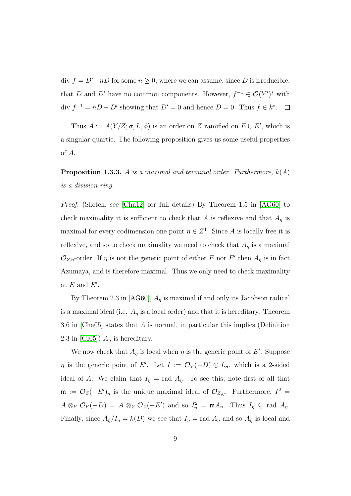div  $f = D'-nD$  for some  $n \geq 0$ , where we can assume, since D is irreducible, that D and D' have no common components. However,  $f^{-1} \in \mathcal{O}(Y')^*$  with div  $f^{-1} = nD - D'$  showing that  $D' = 0$  and hence  $D = 0$ . Thus  $f \in k^*$ .

Thus  $A := A(Y/Z; \sigma, L, \phi)$  is an order on Z ramified on  $E \cup E'$ , which is a singular quartic. The following proposition gives us some useful properties of A.

<span id="page-15-0"></span>Proposition 1.3.3. A *is a maximal and terminal order. Furthermore,* k(A) *is a division ring.*

*Proof.* (Sketch, see [\[Cha12\]](#page-77-2) for full details) By Theorem 1.5 in [\[AG60\]](#page-76-5) to check maximality it is sufficient to check that A is reflexive and that  $A_{\eta}$  is maximal for every codimension one point  $\eta \in \mathbb{Z}^1$ . Since A is locally free it is reflexive, and so to check maximality we need to check that  $A_n$  is a maximal  $\mathcal{O}_{Z,\eta}$ -order. If  $\eta$  is not the generic point of either E nor E' then  $A_{\eta}$  is in fact Azumaya, and is therefore maximal. Thus we only need to check maximality at  $E$  and  $E'$ .

By Theorem 2.3 in [\[AG60\]](#page-76-5),  $A<sub>\eta</sub>$  is maximal if and only its Jacobson radical is a maximal ideal (i.e.  $A_{\eta}$  is a local order) and that it is hereditary. Theorem 3.6 in [\[Cha05\]](#page-76-2) states that A is normal, in particular this implies (Definition 2.3 in [\[CI05\]](#page-77-1))  $A_n$  is hereditary.

We now check that  $A_{\eta}$  is local when  $\eta$  is the generic point of E'. Suppose  $\eta$  is the generic point of E'. Let  $I := \mathcal{O}_Y(-D) \oplus L_{\sigma}$ , which is a 2-sided ideal of A. We claim that  $I_{\eta} = \text{rad } A_{\eta}$ . To see this, note first of all that  $\mathfrak{m} := \mathcal{O}_Z(-E')_{\eta}$  is the unique maximal ideal of  $\mathcal{O}_{Z,\eta}$ . Furthermore,  $I^2 =$  $A \otimes_Y \mathcal{O}_Y(-D) = A \otimes_Z \mathcal{O}_Z(-E')$  and so  $I_\eta^2 = \mathfrak{m} A_\eta$ . Thus  $I_\eta \subseteq$  rad  $A_\eta$ . Finally, since  $A_{\eta}/I_{\eta} = k(D)$  we see that  $I_{\eta} = \text{rad } A_{\eta}$  and so  $A_{\eta}$  is local and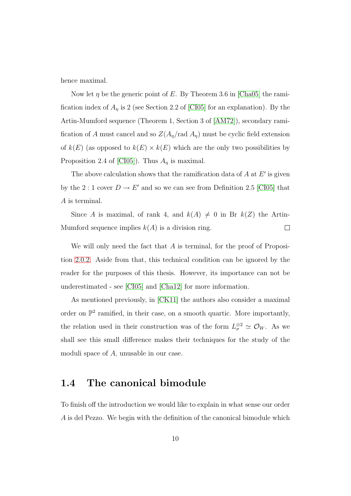hence maximal.

Now let  $\eta$  be the generic point of E. By Theorem 3.6 in [\[Cha05\]](#page-76-2) the ramification index of  $A_{\eta}$  is 2 (see Section 2.2 of [\[CI05\]](#page-77-1) for an explanation). By the Artin-Mumford sequence (Theorem 1, Section 3 of [\[AM72\]](#page-76-6)), secondary ramification of A must cancel and so  $Z(A_{\eta}/\text{rad }A_{\eta})$  must be cyclic field extension of  $k(E)$  (as opposed to  $k(E) \times k(E)$  which are the only two possibilities by Proposition 2.4 of [\[CI05\]](#page-77-1)). Thus  $A_{\eta}$  is maximal.

The above calculation shows that the ramification data of  $A$  at  $E'$  is given by the 2 : 1 cover  $D \to E'$  and so we can see from Definition 2.5 [\[CI05\]](#page-77-1) that A is terminal.

Since A is maximal, of rank 4, and  $k(A) \neq 0$  in Br  $k(Z)$  the Artin-Mumford sequence implies  $k(A)$  is a division ring.  $\Box$ 

We will only need the fact that A is terminal, for the proof of Proposition [2.0.2.](#page-21-1) Aside from that, this technical condition can be ignored by the reader for the purposes of this thesis. However, its importance can not be underestimated - see [\[CI05\]](#page-77-1) and [\[Cha12\]](#page-77-2) for more information.

As mentioned previously, in [\[CK11\]](#page-77-0) the authors also consider a maximal order on  $\mathbb{P}^2$  ramified, in their case, on a smooth quartic. More importantly, the relation used in their construction was of the form  $L^{\otimes 2}_{\sigma} \simeq \mathcal{O}_W$ . As we shall see this small difference makes their techniques for the study of the moduli space of A, unusable in our case.

#### <span id="page-16-0"></span>1.4 The canonical bimodule

To finish off the introduction we would like to explain in what sense our order A is del Pezzo. We begin with the definition of the canonical bimodule which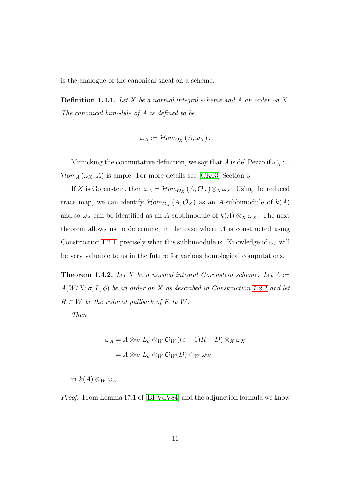<span id="page-17-0"></span>is the analogue of the canonical sheaf on a scheme.

Definition 1.4.1. *Let* X *be a normal integral scheme and* A *an order on* X*. The canonical bimodule of* A *is defined to be*

$$
\omega_A := \mathcal{H}om_{\mathcal{O}_X}(A, \omega_X).
$$

Mimicking the commutative definition, we say that A is del Pezzo if  $\omega_A^* :=$  $\mathcal{H}om_A(\omega_X,A)$  is ample. For more details see [\[CK03\]](#page-77-3) Section 3.

If X is Gorenstein, then  $\omega_A = \mathcal{H}om_{\mathcal{O}_X}(A, \mathcal{O}_X) \otimes_X \omega_X$ . Using the reduced trace map, we can identify  $\mathcal{H}om_{\mathcal{O}_X}(A,\mathcal{O}_X)$  as an A-subbimodule of  $k(A)$ and so  $\omega_A$  can be identified as an A-subbimodule of  $k(A) \otimes_X \omega_X$ . The next theorem allows us to determine, in the case where  $A$  is constructed using Construction [1.2.1,](#page-13-0) precisely what this subbimodule is. Knowledge of  $\omega_A$  will be very valuable to us in the future for various homological computations.

<span id="page-17-1"></span>Theorem 1.4.2. *Let* X *be a normal integral Gorenstein scheme. Let* A :=  $A(W/X; \sigma, L, \phi)$  *be an order on* X *as described in Construction [1.2.1](#page-13-0) and let*  $R \subset W$  *be the reduced pullback of*  $E$  *to*  $W$ *.* 

*Then*

$$
\omega_A = A \otimes_W L_{\sigma} \otimes_W \mathcal{O}_W ((e-1)R + D) \otimes_X \omega_X
$$

$$
= A \otimes_W L_{\sigma} \otimes_W \mathcal{O}_W(D) \otimes_W \omega_W
$$

in  $k(A) \otimes_W \omega_W$ .

*Proof.* From Lemma 17.1 of [\[BPVdV84\]](#page-76-4) and the adjunction formula we know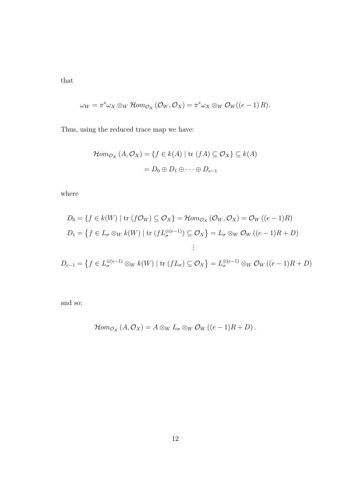that

$$
\omega_W = \pi^* \omega_X \otimes_W \mathcal{H}om_{\mathcal{O}_X}(\mathcal{O}_W, \mathcal{O}_X) = \pi^* \omega_X \otimes_W \mathcal{O}_W((e-1)R).
$$

Thus, using the reduced trace map we have:

$$
\mathcal{H}om_{\mathcal{O}_X}(A, \mathcal{O}_X) = \{ f \in k(A) \mid \text{tr}(fA) \subseteq \mathcal{O}_X \} \subseteq k(A)
$$

$$
= D_0 \oplus D_1 \oplus \cdots \oplus D_{e-1}
$$

where

$$
D_0 = \{ f \in k(W) \mid \text{tr}(f \mathcal{O}_W) \subseteq \mathcal{O}_X \} = \mathcal{H}om_{\mathcal{O}_X}(\mathcal{O}_W, \mathcal{O}_X) = \mathcal{O}_W((e-1)R)
$$
  
\n
$$
D_1 = \{ f \in L_\sigma \otimes_W k(W) \mid \text{tr}(f L_\sigma^{\otimes (e-1)}) \subseteq \mathcal{O}_X \} = L_\sigma \otimes_W \mathcal{O}_W((e-1)R + D)
$$
  
\n
$$
\vdots
$$
  
\n
$$
D_{e-1} = \{ f \in L_\sigma^{\otimes (e-1)} \otimes_W k(W) \mid \text{tr}(f L_\sigma) \subseteq \mathcal{O}_X \} = L_\sigma^{\otimes (e-1)} \otimes_W \mathcal{O}_W((e-1)R + D)
$$

and so:

$$
\mathcal{H}om_{\mathcal{O}_X}(A,\mathcal{O}_X)=A\otimes_W L_{\sigma}\otimes_W \mathcal{O}_W((e-1)R+D).
$$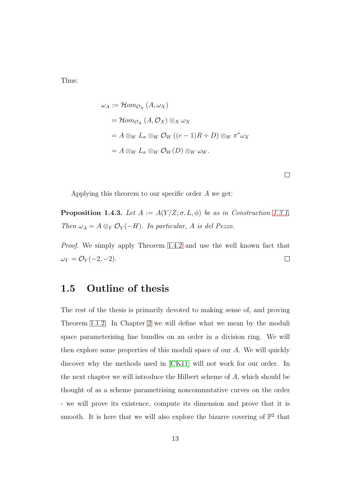Thus:

$$
\omega_A := \mathcal{H}om_{\mathcal{O}_X} (A, \omega_X)
$$
  
=  $\mathcal{H}om_{\mathcal{O}_X} (A, \mathcal{O}_X) \otimes_X \omega_X$   
=  $A \otimes_W L_{\sigma} \otimes_W \mathcal{O}_W ((e-1)R + D) \otimes_W \pi^* \omega_X$   
=  $A \otimes_W L_{\sigma} \otimes_W \mathcal{O}_W(D) \otimes_W \omega_W.$ 

 $\Box$ 

Applying this theorem to our specific order  $A$  we get:

**Proposition 1.4.3.** *Let*  $A := A(Y/Z; \sigma, L, \phi)$  *be as in Construction [1.3.1.](#page-14-1) Then*  $\omega_A = A \otimes_Y \mathcal{O}_Y(-H)$ *. In particular, A is del Pezzo.* 

<span id="page-19-0"></span>*Proof.* We simply apply Theorem [1.4.2](#page-17-1) and use the well known fact that  $\omega_Y = \mathcal{O}_Y(-2, -2).$  $\Box$ 

#### 1.5 Outline of thesis

The rest of the thesis is primarily devoted to making sense of, and proving Theorem [1.1.2.](#page-11-0) In Chapter [2](#page-21-0) we will define what we mean by the moduli space parameterising line bundles on an order in a division ring. We will then explore some properties of this moduli space of our A. We will quickly discover why the methods used in [\[CK11\]](#page-77-0) will not work for our order. In the next chapter we will introduce the Hilbert scheme of A, which should be thought of as a scheme parametrising noncommutative curves on the order - we will prove its existence, compute its dimension and prove that it is smooth. It is here that we will also explore the bizarre covering of  $\mathbb{P}^2$  that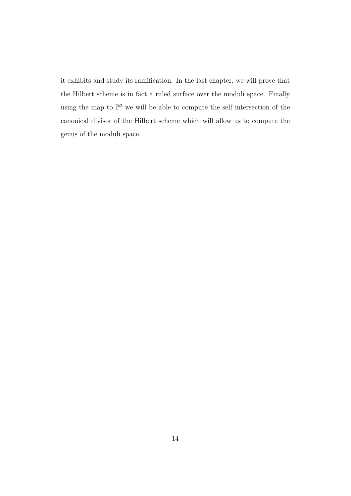it exhibits and study its ramification. In the last chapter, we will prove that the Hilbert scheme is in fact a ruled surface over the moduli space. Finally using the map to  $\mathbb{P}^2$  we will be able to compute the self intersection of the canonical divisor of the Hilbert scheme which will allow us to compute the genus of the moduli space.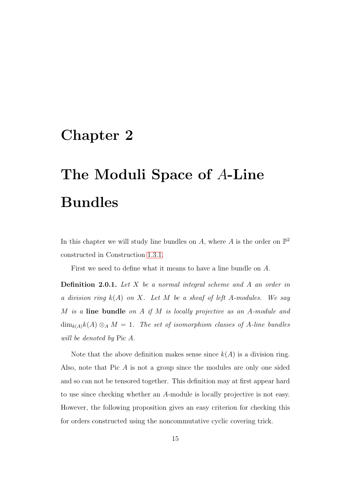# <span id="page-21-0"></span>Chapter 2

# The Moduli Space of A-Line Bundles

In this chapter we will study line bundles on A, where A is the order on  $\mathbb{P}^2$ constructed in Construction [1.3.1.](#page-14-1)

First we need to define what it means to have a line bundle on A.

Definition 2.0.1. *Let* X *be a normal integral scheme and* A *an order in a division ring* k(A) *on* X*. Let* M *be a sheaf of left* A*-modules. We say* M *is a* line bundle *on* A *if* M *is locally projective as an* A*-module and*  $\dim_{k(A)} k(A) \otimes_A M = 1$ . The set of isomorphism classes of A-line bundles *will be denoted by* Pic A*.*

<span id="page-21-1"></span>Note that the above definition makes sense since  $k(A)$  is a division ring. Also, note that Pic A is not a group since the modules are only one sided and so can not be tensored together. This definition may at first appear hard to use since checking whether an A-module is locally projective is not easy. However, the following proposition gives an easy criterion for checking this for orders constructed using the noncommutative cyclic covering trick.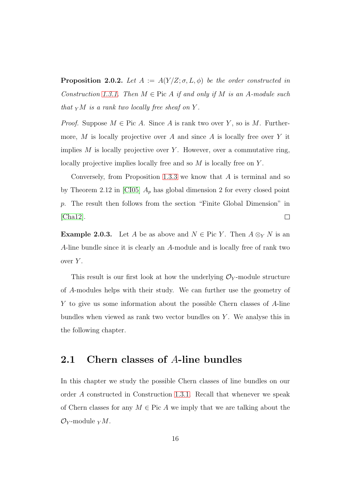**Proposition 2.0.2.** Let  $A := A(Y/Z; \sigma, L, \phi)$  be the order constructed in *Construction* [1.3.1.](#page-14-1) *Then*  $M \in$  Pic A *if and only if*  $M$  *is an A-module such that*  $_Y$ *M is a rank two locally free sheaf on*  $Y$ *.* 

*Proof.* Suppose  $M \in \text{Pic } A$ . Since A is rank two over Y, so is M. Furthermore, M is locally projective over A and since A is locally free over Y it implies  $M$  is locally projective over  $Y$ . However, over a commutative ring, locally projective implies locally free and so M is locally free on Y.

Conversely, from Proposition [1.3.3](#page-15-0) we know that  $A$  is terminal and so by Theorem 2.12 in [\[CI05\]](#page-77-1)  $A_p$  has global dimension 2 for every closed point p. The result then follows from the section "Finite Global Dimension" in [\[Cha12\]](#page-77-2).  $\Box$ 

<span id="page-22-1"></span>**Example 2.0.3.** Let A be as above and  $N \in \text{Pic } Y$ . Then  $A \otimes_Y N$  is an A-line bundle since it is clearly an A-module and is locally free of rank two over  $Y$ .

This result is our first look at how the underlying  $\mathcal{O}_Y$ -module structure of A-modules helps with their study. We can further use the geometry of Y to give us some information about the possible Chern classes of A-line bundles when viewed as rank two vector bundles on  $Y$ . We analyse this in the following chapter.

#### <span id="page-22-0"></span>2.1 Chern classes of A-line bundles

In this chapter we study the possible Chern classes of line bundles on our order A constructed in Construction [1.3.1.](#page-14-1) Recall that whenever we speak of Chern classes for any  $M \in \text{Pic } A$  we imply that we are talking about the  $\mathcal{O}_Y$ -module  $_YM$ .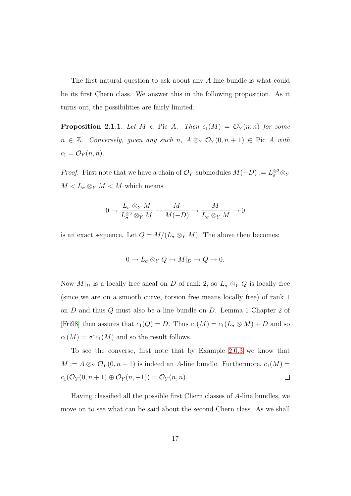The first natural question to ask about any A-line bundle is what could be its first Chern class. We answer this in the following proposition. As it turns out, the possibilities are fairly limited.

**Proposition 2.1.1.** Let  $M \in$  Pic A. Then  $c_1(M) = \mathcal{O}_Y(n,n)$  for some  $n \in \mathbb{Z}$ *. Conversely, given any such*  $n$ ,  $A \otimes_Y \mathcal{O}_Y(0, n + 1)$  ∈ Pic A with  $c_1 = \mathcal{O}_Y(n,n)$ .

*Proof.* First note that we have a chain of  $\mathcal{O}_Y$ -submodules  $M(-D) := L^{\otimes 2}_\sigma \otimes_Y$  $M < L_{\sigma} \otimes_{Y} M < M$  which means

$$
0 \to \frac{L_{\sigma} \otimes_{Y} M}{L_{\sigma}^{\otimes 2} \otimes_{Y} M} \to \frac{M}{M(-D)} \to \frac{M}{L_{\sigma} \otimes_{Y} M} \to 0
$$

is an exact sequence. Let  $Q = M/(L_{\sigma} \otimes_{Y} M)$ . The above then becomes:

$$
0 \to L_{\sigma} \otimes_{Y} Q \to M|_{D} \to Q \to 0.
$$

Now  $M|_D$  is a locally free sheaf on D of rank 2, so  $L_{\sigma} \otimes_Y Q$  is locally free (since we are on a smooth curve, torsion free means locally free) of rank 1 on  $D$  and thus  $Q$  must also be a line bundle on  $D$ . Lemma 1 Chapter 2 of [\[Fri98\]](#page-77-4) then assures that  $c_1(Q) = D$ . Thus  $c_1(M) = c_1(L_{\sigma} \otimes M) + D$  and so  $c_1(M) = \sigma^* c_1(M)$  and so the result follows.

To see the converse, first note that by Example [2.0.3](#page-22-1) we know that  $M := A \otimes_Y \mathcal{O}_Y(0, n+1)$  is indeed an A-line bundle. Furthermore,  $c_1(M) =$  $c_1(\mathcal{O}_Y(0,n+1)\oplus \mathcal{O}_Y(n,-1))=\mathcal{O}_Y(n,n).$  $\Box$ 

Having classified all the possible first Chern classes of A-line bundles, we move on to see what can be said about the second Chern class. As we shall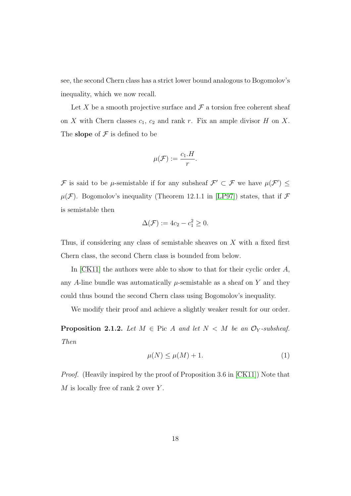see, the second Chern class has a strict lower bound analogous to Bogomolov's inequality, which we now recall.

Let X be a smooth projective surface and  $\mathcal F$  a torsion free coherent sheaf on X with Chern classes  $c_1$ ,  $c_2$  and rank r. Fix an ample divisor H on X. The slope of  $\mathcal F$  is defined to be

$$
\mu(\mathcal{F}) := \frac{c_1.H}{r}.
$$

F is said to be  $\mu$ -semistable if for any subsheaf  $\mathcal{F}' \subset \mathcal{F}$  we have  $\mu(\mathcal{F}') \leq$  $\mu(\mathcal{F})$ . Bogomolov's inequality (Theorem 12.1.1 in [\[LP97\]](#page-78-2)) states, that if  $\mathcal F$ is semistable then

$$
\Delta(\mathcal{F}) := 4c_2 - c_1^2 \geq 0.
$$

Thus, if considering any class of semistable sheaves on X with a fixed first Chern class, the second Chern class is bounded from below.

In  $[CK11]$  the authors were able to show to that for their cyclic order  $A$ , any A-line bundle was automatically  $\mu$ -semistable as a sheaf on Y and they could thus bound the second Chern class using Bogomolov's inequality.

We modify their proof and achieve a slightly weaker result for our order.

<span id="page-24-0"></span>**Proposition 2.1.2.** Let  $M \in \text{Pic } A$  and let  $N < M$  be an  $\mathcal{O}_Y$ -subsheaf. *Then*

$$
\mu(N) \le \mu(M) + 1. \tag{1}
$$

*Proof.* (Heavily inspired by the proof of Proposition 3.6 in [\[CK11\]](#page-77-0)) Note that  $M$  is locally free of rank 2 over Y.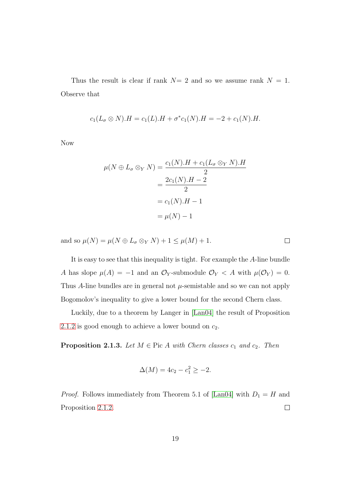Thus the result is clear if rank  $N=2$  and so we assume rank  $N=1$ . Observe that

$$
c_1(L_{\sigma} \otimes N).H = c_1(L).H + \sigma^* c_1(N).H = -2 + c_1(N).H.
$$

Now

$$
\mu(N \oplus L_{\sigma} \otimes_{Y} N) = \frac{c_{1}(N).H + c_{1}(L_{\sigma} \otimes_{Y} N).H}{2}
$$

$$
= \frac{2c_{1}(N).H - 2}{2}
$$

$$
= c_{1}(N).H - 1
$$

$$
= \mu(N) - 1
$$

and so  $\mu(N) = \mu(N \oplus L_{\sigma} \otimes_{Y} N) + 1 \leq \mu(M) + 1$ .

It is easy to see that this inequality is tight. For example the A-line bundle A has slope  $\mu(A) = -1$  and an  $\mathcal{O}_Y$ -submodule  $\mathcal{O}_Y < A$  with  $\mu(\mathcal{O}_Y) = 0$ . Thus A-line bundles are in general not  $\mu$ -semistable and so we can not apply Bogomolov's inequality to give a lower bound for the second Chern class.

<span id="page-25-0"></span>Luckily, due to a theorem by Langer in [\[Lan04\]](#page-78-3) the result of Proposition [2.1.2](#page-24-0) is good enough to achieve a lower bound on  $c_2$ .

**Proposition 2.1.3.** *Let*  $M \in \text{Pic } A$  *with Chern classes*  $c_1$  *and*  $c_2$ *. Then* 

$$
\Delta(M) = 4c_2 - c_1^2 \ge -2.
$$

*Proof.* Follows immediately from Theorem 5.1 of [\[Lan04\]](#page-78-3) with  $D_1 = H$  and Proposition [2.1.2.](#page-24-0)  $\Box$ 

 $\Box$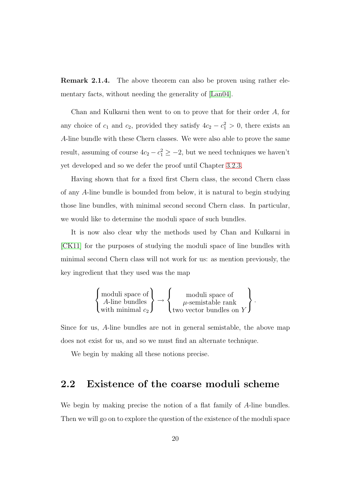Remark 2.1.4. The above theorem can also be proven using rather elementary facts, without needing the generality of [\[Lan04\]](#page-78-3).

Chan and Kulkarni then went to on to prove that for their order A, for any choice of  $c_1$  and  $c_2$ , provided they satisfy  $4c_2 - c_1^2 > 0$ , there exists an A-line bundle with these Chern classes. We were also able to prove the same result, assuming of course  $4c_2 - c_1^2 \ge -2$ , but we need techniques we haven't yet developed and so we defer the proof until Chapter [3.2.3.](#page-67-0)

Having shown that for a fixed first Chern class, the second Chern class of any A-line bundle is bounded from below, it is natural to begin studying those line bundles, with minimal second second Chern class. In particular, we would like to determine the moduli space of such bundles.

It is now also clear why the methods used by Chan and Kulkarni in [\[CK11\]](#page-77-0) for the purposes of studying the moduli space of line bundles with minimal second Chern class will not work for us: as mention previously, the key ingredient that they used was the map

$$
\left\{\begin{matrix} \text{moduli space of} \\ A\text{-line bundles} \\ \text{with minimal } c_2 \end{matrix}\right\} \rightarrow \left\{\begin{matrix} \text{moduli space of} \\ \text{$\mu$-semistable rank} \\ \text{two vector bundles on } Y \end{matrix}\right\}.
$$

Since for us, A-line bundles are not in general semistable, the above map does not exist for us, and so we must find an alternate technique.

We begin by making all these notions precise.

#### <span id="page-26-0"></span>2.2 Existence of the coarse moduli scheme

We begin by making precise the notion of a flat family of A-line bundles. Then we will go on to explore the question of the existence of the moduli space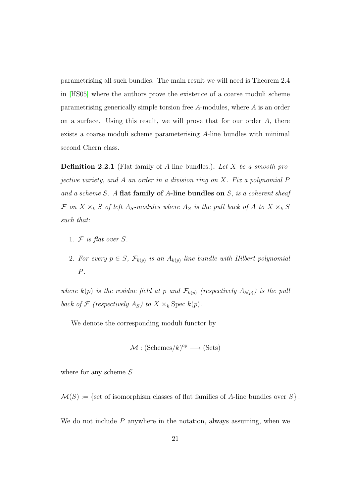parametrising all such bundles. The main result we will need is Theorem 2.4 in [\[HS05\]](#page-78-0) where the authors prove the existence of a coarse moduli scheme parametrising generically simple torsion free A-modules, where A is an order on a surface. Using this result, we will prove that for our order  $A$ , there exists a coarse moduli scheme parameterising A-line bundles with minimal second Chern class.

Definition 2.2.1 (Flat family of A-line bundles.). *Let* X *be a smooth projective variety, and* A *an order in a division ring on* X*. Fix a polynomial* P *and a scheme* S*. A* flat family of A-line bundles on S*, is a coherent sheaf*  $\mathcal F$  *on*  $X \times_k S$  *of left*  $A_S$ -modules where  $A_S$  *is the pull back of*  $A$  *to*  $X \times_k S$ *such that:*

- 1. F *is flat over* S*.*
- 2. For every  $p \in S$ ,  $\mathcal{F}_{k(p)}$  is an  $A_{k(p)}$ -line bundle with Hilbert polynomial P*.*

*where*  $k(p)$  *is the residue field at* p and  $\mathcal{F}_{k(p)}$  (respectively  $A_{k(p)}$ ) is the pull *back of*  $\mathcal F$  *(respectively*  $A_S$ *) to*  $X \times_k$  Spec  $k(p)$ *.* 

We denote the corresponding moduli functor by

$$
\mathcal{M} : (\text{Schemes}/k)^{\text{op}} \longrightarrow (\text{Sets})
$$

where for any scheme  $S$ 

 $\mathcal{M}(S) := \{$  set of isomorphism classes of flat families of A-line bundles over  $S \}$ .

We do not include  $P$  anywhere in the notation, always assuming, when we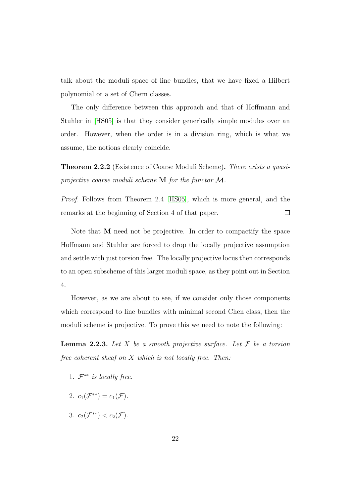talk about the moduli space of line bundles, that we have fixed a Hilbert polynomial or a set of Chern classes.

The only difference between this approach and that of Hoffmann and Stuhler in [\[HS05\]](#page-78-0) is that they consider generically simple modules over an order. However, when the order is in a division ring, which is what we assume, the notions clearly coincide.

Theorem 2.2.2 (Existence of Coarse Moduli Scheme). *There exists a quasiprojective coarse moduli scheme* M *for the functor* M*.*

*Proof.* Follows from Theorem 2.4 [\[HS05\]](#page-78-0), which is more general, and the remarks at the beginning of Section 4 of that paper.  $\Box$ 

Note that M need not be projective. In order to compactify the space Hoffmann and Stuhler are forced to drop the locally projective assumption and settle with just torsion free. The locally projective locus then corresponds to an open subscheme of this larger moduli space, as they point out in Section 4.

However, as we are about to see, if we consider only those components which correspond to line bundles with minimal second Chen class, then the moduli scheme is projective. To prove this we need to note the following:

**Lemma 2.2.3.** Let X be a smooth projective surface. Let  $\mathcal F$  be a torsion *free coherent sheaf on* X *which is not locally free. Then:*

- 1. F ∗∗ *is locally free.*
- 2.  $c_1(\mathcal{F}^{**}) = c_1(\mathcal{F})$ .
- 3.  $c_2(\mathcal{F}^{**}) < c_2(\mathcal{F})$ .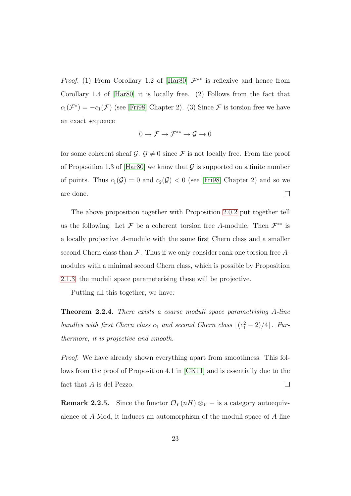*Proof.* (1) From Corollary 1.2 of [\[Har80\]](#page-78-4)  $\mathcal{F}^{**}$  is reflexive and hence from Corollary 1.4 of [\[Har80\]](#page-78-4) it is locally free. (2) Follows from the fact that  $c_1(\mathcal{F}^*) = -c_1(\mathcal{F})$  (see [\[Fri98\]](#page-77-4) Chapter 2). (3) Since  $\mathcal{F}$  is torsion free we have an exact sequence

$$
0 \to \mathcal{F} \to \mathcal{F}^{**} \to \mathcal{G} \to 0
$$

for some coherent sheaf  $\mathcal{G}$ .  $\mathcal{G} \neq 0$  since  $\mathcal{F}$  is not locally free. From the proof of Proposition 1.3 of [\[Har80\]](#page-78-4) we know that  $\mathcal G$  is supported on a finite number of points. Thus  $c_1(\mathcal{G}) = 0$  and  $c_2(\mathcal{G}) < 0$  (see [\[Fri98\]](#page-77-4) Chapter 2) and so we  $\Box$ are done.

The above proposition together with Proposition [2.0.2](#page-21-1) put together tell us the following: Let  $\mathcal F$  be a coherent torsion free A-module. Then  $\mathcal F^{**}$  is a locally projective A-module with the same first Chern class and a smaller second Chern class than  $\mathcal F$ . Thus if we only consider rank one torsion free Amodules with a minimal second Chern class, which is possible by Proposition [2.1.3,](#page-25-0) the moduli space parameterising these will be projective.

Putting all this together, we have:

<span id="page-29-1"></span>Theorem 2.2.4. *There exists a coarse moduli space parametrising* A*-line bundles with first Chern class*  $c_1$  *and second Chern class*  $\lfloor (c_1^2 - 2)/4 \rfloor$ *. Furthermore, it is projective and smooth.*

*Proof.* We have already shown everything apart from smoothness. This follows from the proof of Proposition 4.1 in [\[CK11\]](#page-77-0) and is essentially due to the fact that A is del Pezzo.  $\Box$ 

<span id="page-29-0"></span>**Remark 2.2.5.** Since the functor  $\mathcal{O}_Y(nH) \otimes_Y -$  is a category autoequivalence of A-Mod, it induces an automorphism of the moduli space of A-line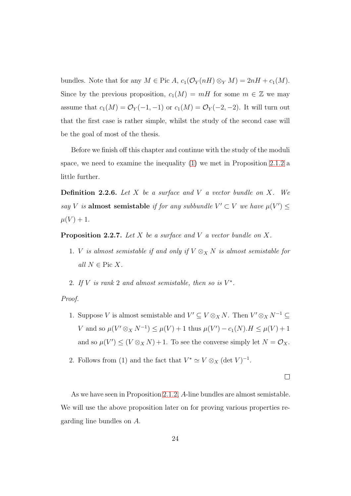bundles. Note that for any  $M \in \text{Pic } A$ ,  $c_1(\mathcal{O}_Y(nH) \otimes_Y M) = 2nH + c_1(M)$ . Since by the previous proposition,  $c_1(M) = mH$  for some  $m \in \mathbb{Z}$  we may assume that  $c_1(M) = \mathcal{O}_Y(-1, -1)$  or  $c_1(M) = \mathcal{O}_Y(-2, -2)$ . It will turn out that the first case is rather simple, whilst the study of the second case will be the goal of most of the thesis.

Before we finish off this chapter and continue with the study of the moduli space, we need to examine the inequality  $(1)$  we met in Proposition [2.1.2](#page-24-0) a little further.

Definition 2.2.6. *Let* X *be a surface and* V *a vector bundle on* X*. We say V is* almost semistable *if for any subbundle*  $V' \subset V$  *we have*  $\mu(V') \leq$  $\mu(V) + 1.$ 

<span id="page-30-0"></span>Proposition 2.2.7. *Let* X *be a surface and* V *a vector bundle on* X*.*

- 1. *V is almost semistable if and only if*  $V \otimes_X N$  *is almost semistable for all*  $N \in \text{Pic } X$ .
- 2. If V is rank 2 and almost semistable, then so is  $V^*$ .

#### *Proof.*

- 1. Suppose V is almost semistable and  $V' \subseteq V \otimes_X N$ . Then  $V' \otimes_X N^{-1} \subseteq$ V and so  $\mu(V' \otimes_X N^{-1}) \leq \mu(V) + 1$  thus  $\mu(V') - c_1(N) \cdot H \leq \mu(V) + 1$ and so  $\mu(V') \leq (V \otimes_X N) + 1$ . To see the converse simply let  $N = \mathcal{O}_X$ .
- 2. Follows from (1) and the fact that  $V^* \simeq V \otimes_X (\det V)^{-1}$ .

 $\Box$ 

As we have seen in Proposition [2.1.2,](#page-24-0) A-line bundles are almost semistable. We will use the above proposition later on for proving various properties regarding line bundles on A.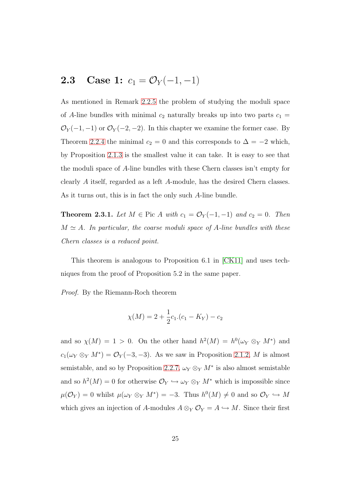### <span id="page-31-0"></span>2.3 Case 1:  $c_1 = \mathcal{O}_Y(-1,-1)$

As mentioned in Remark [2.2.5](#page-29-0) the problem of studying the moduli space of A-line bundles with minimal  $c_2$  naturally breaks up into two parts  $c_1 =$  $\mathcal{O}_Y(-1,-1)$  or  $\mathcal{O}_Y(-2,-2)$ . In this chapter we examine the former case. By Theorem [2.2.4](#page-29-1) the minimal  $c_2 = 0$  and this corresponds to  $\Delta = -2$  which, by Proposition [2.1.3](#page-25-0) is the smallest value it can take. It is easy to see that the moduli space of A-line bundles with these Chern classes isn't empty for clearly A itself, regarded as a left A-module, has the desired Chern classes. As it turns out, this is in fact the only such A-line bundle.

<span id="page-31-1"></span>**Theorem 2.3.1.** *Let*  $M \in \text{Pic } A$  *with*  $c_1 = \mathcal{O}_Y(-1, -1)$  *and*  $c_2 = 0$ *. Then*  $M \simeq A$ *. In particular, the coarse moduli space of A-line bundles with these Chern classes is a reduced point.*

This theorem is analogous to Proposition 6.1 in [\[CK11\]](#page-77-0) and uses techniques from the proof of Proposition 5.2 in the same paper.

*Proof.* By the Riemann-Roch theorem

$$
\chi(M) = 2 + \frac{1}{2}c_1 \cdot (c_1 - K_Y) - c_2
$$

and so  $\chi(M) = 1 > 0$ . On the other hand  $h^2(M) = h^0(\omega_Y \otimes_Y M^*)$  and  $c_1(\omega_Y \otimes_Y M^*) = \mathcal{O}_Y(-3, -3)$ . As we saw in Proposition [2.1.2,](#page-24-0) M is almost semistable, and so by Proposition [2.2.7,](#page-30-0)  $\omega_Y \otimes_Y M^*$  is also almost semistable and so  $h^2(M) = 0$  for otherwise  $\mathcal{O}_Y \hookrightarrow \omega_Y \otimes_Y M^*$  which is impossible since  $\mu(\mathcal{O}_Y) = 0$  whilst  $\mu(\omega_Y \otimes_Y M^*) = -3$ . Thus  $h^0(M) \neq 0$  and so  $\mathcal{O}_Y \hookrightarrow M$ which gives an injection of A-modules  $A \otimes_Y \mathcal{O}_Y = A \hookrightarrow M$ . Since their first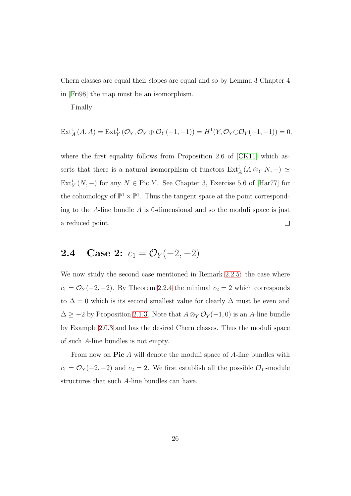Chern classes are equal their slopes are equal and so by Lemma 3 Chapter 4 in [\[Fri98\]](#page-77-4) the map must be an isomorphism.

Finally

$$
\operatorname{Ext}^1_A(A, A) = \operatorname{Ext}^1_Y(\mathcal{O}_Y, \mathcal{O}_Y \oplus \mathcal{O}_Y(-1, -1)) = H^1(Y, \mathcal{O}_Y \oplus \mathcal{O}_Y(-1, -1)) = 0.
$$

where the first equality follows from Proposition 2.6 of [\[CK11\]](#page-77-0) which asserts that there is a natural isomorphism of functors  $\text{Ext}_{A}^{i}(A\otimes_{Y}N,-) \simeq$  $\text{Ext}_Y^i(N, -)$  for any  $N \in \text{Pic } Y$ . See Chapter 3, Exercise 5.6 of [\[Har77\]](#page-77-5) for the cohomology of  $\mathbb{P}^1 \times \mathbb{P}^1$ . Thus the tangent space at the point corresponding to the  $A$ -line bundle  $A$  is 0-dimensional and so the moduli space is just a reduced point.  $\Box$ 

### <span id="page-32-0"></span>2.4 Case 2:  $c_1 = \mathcal{O}_Y(-2,-2)$

We now study the second case mentioned in Remark [2.2.5:](#page-29-0) the case where  $c_1 = \mathcal{O}_Y(-2, -2)$ . By Theorem [2.2.4](#page-29-1) the minimal  $c_2 = 2$  which corresponds to  $\Delta = 0$  which is its second smallest value for clearly  $\Delta$  must be even and  $\Delta \geq -2$  by Proposition [2.1.3.](#page-25-0) Note that  $A \otimes_Y \mathcal{O}_Y(-1,0)$  is an A-line bundle by Example [2.0.3](#page-22-1) and has the desired Chern classes. Thus the moduli space of such A-line bundles is not empty.

From now on **Pic** A will denote the moduli space of A-line bundles with  $c_1 = \mathcal{O}_Y(-2, -2)$  and  $c_2 = 2$ . We first establish all the possible  $\mathcal{O}_Y$ -module structures that such A-line bundles can have.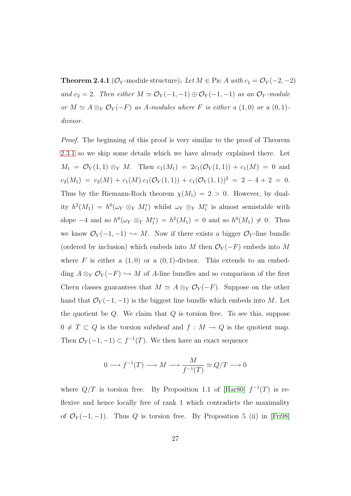<span id="page-33-0"></span>**Theorem 2.4.1** ( $\mathcal{O}_Y$ -module structure). Let  $M \in \text{Pic } A$  with  $c_1 = \mathcal{O}_Y(-2, -2)$ *and*  $c_2 = 2$ *. Then either*  $M \simeq \mathcal{O}_Y(-1, -1) \oplus \mathcal{O}_Y(-1, -1)$  *as an*  $\mathcal{O}_Y$ *-module or*  $M \simeq A \otimes_Y \mathcal{O}_Y(-F)$  *as* A-modules where F *is either a* (1,0) *or a* (0,1)*divisor.*

*Proof.* The beginning of this proof is very similar to the proof of Theorem [2.3.1](#page-31-1) so we skip some details which we have already explained there. Let  $M_1 = \mathcal{O}_Y(1,1) \otimes_Y M$ . Then  $c_1(M_1) = 2c_1(\mathcal{O}_Y(1,1)) + c_1(M) = 0$  and  $c_2(M_1) = c_2(M) + c_1(M).c_1(\mathcal{O}_Y(1,1)) + c_1(\mathcal{O}_Y(1,1))^2 = 2 - 4 + 2 = 0.$ Thus by the Riemann-Roch theorem  $\chi(M_1) = 2 > 0$ . However, by duality  $h^2(M_1) = h^0(\omega_Y \otimes_Y M_1^*)$  whilst  $\omega_Y \otimes_Y M_1^*$  is almost semistable with slope  $-4$  and so  $h^0(\omega_Y \otimes_Y M_1^*) = h^2(M_1) = 0$  and so  $h^0(M_1) \neq 0$ . Thus we know  $\mathcal{O}_Y(-1,-1) \hookrightarrow M$ . Now if there exists a bigger  $\mathcal{O}_Y$ -line bundle (ordered by inclusion) which embeds into M then  $\mathcal{O}_Y(-F)$  embeds into M where  $F$  is either a  $(1,0)$  or a  $(0,1)$ -divisor. This extends to an embedding  $A \otimes_Y \mathcal{O}_Y(-F) \hookrightarrow M$  of A-line bundles and so comparison of the first Chern classes guarantees that  $M \simeq A \otimes_Y \mathcal{O}_Y(-F)$ . Suppose on the other hand that  $\mathcal{O}_Y(-1,-1)$  is the biggest line bundle which embeds into M. Let the quotient be  $Q$ . We claim that  $Q$  is torsion free. To see this, suppose  $0 \neq T \subset Q$  is the torsion subsheaf and  $f : M \to Q$  is the quotient map. Then  $\mathcal{O}_Y(-1,-1) \subset f^{-1}(T)$ . We then have an exact sequence

$$
0 \longrightarrow f^{-1}(T) \longrightarrow M \longrightarrow \frac{M}{f^{-1}(T)} \simeq Q/T \longrightarrow 0
$$

where  $Q/T$  is torsion free. By Proposition 1.1 of [\[Har80\]](#page-78-4)  $f^{-1}(T)$  is reflexive and hence locally free of rank 1 which contradicts the maximality of  $\mathcal{O}_Y(-1,-1)$ . Thus Q is torsion free. By Proposition 5 (ii) in [\[Fri98\]](#page-77-4)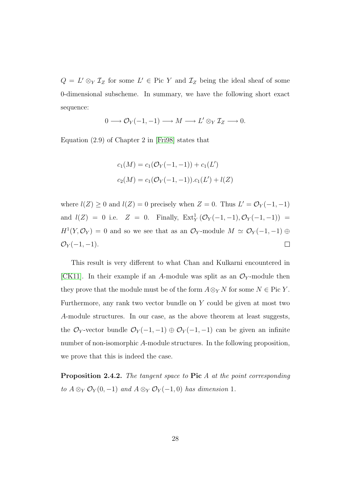$Q = L' \otimes_Y \mathcal{I}_Z$  for some  $L' \in Pic Y$  and  $\mathcal{I}_Z$  being the ideal sheaf of some 0-dimensional subscheme. In summary, we have the following short exact sequence:

$$
0 \longrightarrow \mathcal{O}_Y(-1,-1) \longrightarrow M \longrightarrow L' \otimes_Y \mathcal{I}_Z \longrightarrow 0.
$$

Equation (2.9) of Chapter 2 in [\[Fri98\]](#page-77-4) states that

$$
c_1(M) = c_1(\mathcal{O}_Y(-1,-1)) + c_1(L')
$$
  

$$
c_2(M) = c_1(\mathcal{O}_Y(-1,-1)).c_1(L') + l(Z)
$$

where  $l(Z) \geq 0$  and  $l(Z) = 0$  precisely when  $Z = 0$ . Thus  $L' = \mathcal{O}_Y(-1, -1)$ and  $l(Z) = 0$  i.e.  $Z = 0$ . Finally,  $Ext_Y^1(\mathcal{O}_Y(-1,-1), \mathcal{O}_Y(-1,-1)) =$  $H^1(Y, \mathcal{O}_Y) = 0$  and so we see that as an  $\mathcal{O}_Y$ -module  $M \simeq \mathcal{O}_Y(-1, -1) \oplus$  $\mathcal{O}_Y(-1,-1)$ .  $\Box$ 

This result is very different to what Chan and Kulkarni encountered in [\[CK11\]](#page-77-0). In their example if an A-module was split as an  $\mathcal{O}_Y$ -module then they prove that the module must be of the form  $A \otimes_Y N$  for some  $N \in \text{Pic } Y$ . Furthermore, any rank two vector bundle on  $Y$  could be given at most two A-module structures. In our case, as the above theorem at least suggests, the  $\mathcal{O}_Y$ -vector bundle  $\mathcal{O}_Y(-1,-1) \oplus \mathcal{O}_Y(-1,-1)$  can be given an infinite number of non-isomorphic A-module structures. In the following proposition, we prove that this is indeed the case.

Proposition 2.4.2. *The tangent space to* Pic *A at the point corresponding to*  $A \otimes_Y \mathcal{O}_Y(0,-1)$  *and*  $A \otimes_Y \mathcal{O}_Y(-1,0)$  *has dimension* 1*.*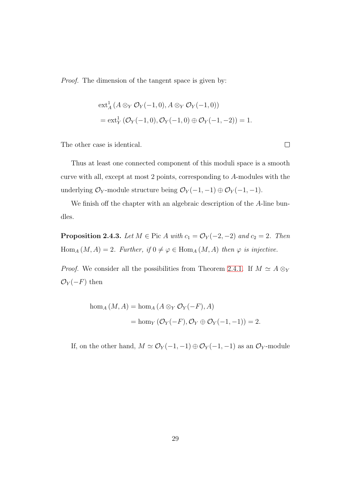*Proof.* The dimension of the tangent space is given by:

$$
\begin{aligned} & \mathrm{ext}_{A}^{1} \left( A \otimes_{Y} \mathcal{O}_{Y}(-1,0), A \otimes_{Y} \mathcal{O}_{Y}(-1,0) \right) \\ &= \mathrm{ext}_{Y}^{1} \left( \mathcal{O}_{Y}(-1,0), \mathcal{O}_{Y}(-1,0) \oplus \mathcal{O}_{Y}(-1,-2) \right) = 1. \end{aligned}
$$

The other case is identical.

Thus at least one connected component of this moduli space is a smooth curve with all, except at most 2 points, corresponding to A-modules with the underlying  $\mathcal{O}_Y$ -module structure being  $\mathcal{O}_Y(-1,-1) \oplus \mathcal{O}_Y(-1,-1)$ .

We finish off the chapter with an algebraic description of the A-line bundles.

**Proposition 2.4.3.** *Let*  $M \in \text{Pic } A$  *with*  $c_1 = \mathcal{O}_Y(-2, -2)$  *and*  $c_2 = 2$ *. Then*  $\text{Hom}_A(M, A) = 2$ *. Further, if*  $0 \neq \varphi \in \text{Hom}_A(M, A)$  *then*  $\varphi$  *is injective.* 

*Proof.* We consider all the possibilities from Theorem [2.4.1.](#page-33-0) If  $M \simeq A \otimes_Y$  $\mathcal{O}_Y(-F)$  then

hom<sub>A</sub> 
$$
(M, A)
$$
 = hom<sub>A</sub>  $(A \otimes_Y \mathcal{O}_Y(-F), A)$   
= hom<sub>Y</sub>  $(\mathcal{O}_Y(-F), \mathcal{O}_Y \oplus \mathcal{O}_Y(-1, -1)) = 2$ .

If, on the other hand,  $M \simeq \mathcal{O}_Y(-1,-1) \oplus \mathcal{O}_Y(-1,-1)$  as an  $\mathcal{O}_Y$  -module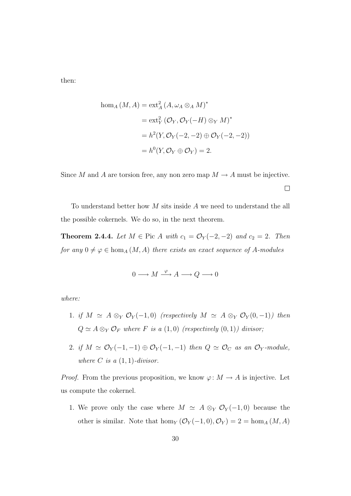then:

$$
\begin{aligned} \text{hom}_A \left( M, A \right) &= \text{ext}_{A}^2 \left( A, \omega_A \otimes_A M \right)^* \\ &= \text{ext}_{Y}^2 \left( \mathcal{O}_Y, \mathcal{O}_Y(-H) \otimes_Y M \right)^* \\ &= h^2(Y, \mathcal{O}_Y(-2, -2) \oplus \mathcal{O}_Y(-2, -2)) \\ &= h^0(Y, \mathcal{O}_Y \oplus \mathcal{O}_Y) = 2. \end{aligned}
$$

Since M and A are torsion free, any non zero map  $M \to A$  must be injective.  $\Box$ 

<span id="page-36-0"></span>To understand better how M sits inside A we need to understand the all the possible cokernels. We do so, in the next theorem.

**Theorem 2.4.4.** *Let*  $M \in \text{Pic } A$  *with*  $c_1 = \mathcal{O}_Y(-2, -2)$  *and*  $c_2 = 2$ *. Then for any*  $0 \neq \varphi \in \text{hom}_A(M, A)$  *there exists an exact sequence of* A-modules

$$
0 \longrightarrow M \xrightarrow{\varphi} A \longrightarrow Q \longrightarrow 0
$$

*where:*

- 1. *if*  $M \simeq A \otimes_Y \mathcal{O}_Y(-1,0)$  *(respectively*  $M \simeq A \otimes_Y \mathcal{O}_Y(0,-1)$ *)* then  $Q \simeq A \otimes_Y \mathcal{O}_F$  where *F is a* (1,0) *(respectively* (0,1)*)* divisor;
- 2. *if*  $M \simeq \mathcal{O}_Y(-1,-1) \oplus \mathcal{O}_Y(-1,-1)$  *then*  $Q \simeq \mathcal{O}_C$  *as an*  $\mathcal{O}_Y$ *-module, where*  $C$  *is a*  $(1, 1)$ *-divisor.*

*Proof.* From the previous proposition, we know  $\varphi: M \to A$  is injective. Let us compute the cokernel.

1. We prove only the case where  $M \simeq A \otimes_Y \mathcal{O}_Y(-1,0)$  because the other is similar. Note that  $hom_Y(\mathcal{O}_Y(-1,0), \mathcal{O}_Y) = 2 = hom_A(M, A)$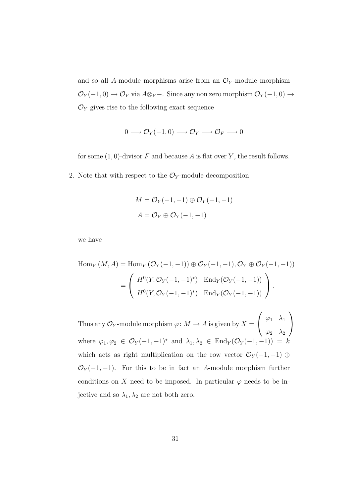and so all A-module morphisms arise from an  $\mathcal{O}_Y$ -module morphism  $\mathcal{O}_Y(-1,0) \to \mathcal{O}_Y$  via  $A \otimes_Y -$ . Since any non zero morphism  $\mathcal{O}_Y(-1,0) \to$  $\mathcal{O}_Y$  gives rise to the following exact sequence

$$
0 \longrightarrow \mathcal{O}_Y(-1,0) \longrightarrow \mathcal{O}_Y \longrightarrow \mathcal{O}_F \longrightarrow 0
$$

for some  $(1, 0)$ -divisor F and because A is flat over Y, the result follows.

2. Note that with respect to the  $\mathcal{O}_Y$ -module decomposition

$$
M = \mathcal{O}_Y(-1, -1) \oplus \mathcal{O}_Y(-1, -1)
$$

$$
A = \mathcal{O}_Y \oplus \mathcal{O}_Y(-1, -1)
$$

we have

$$
\text{Hom}_Y(M, A) = \text{Hom}_Y(\mathcal{O}_Y(-1, -1)) \oplus \mathcal{O}_Y(-1, -1), \mathcal{O}_Y \oplus \mathcal{O}_Y(-1, -1))
$$
\n
$$
= \begin{pmatrix} H^0(Y, \mathcal{O}_Y(-1, -1)^*) & \text{End}_Y(\mathcal{O}_Y(-1, -1)) \\ H^0(Y, \mathcal{O}_Y(-1, -1)^*) & \text{End}_Y(\mathcal{O}_Y(-1, -1)) \end{pmatrix}.
$$

Thus any  $\mathcal{O}_Y$ -module morphism  $\varphi\colon M\to A$  is given by  $X=$  $\sqrt{ }$  $\mathcal{L}$  $\varphi_1$   $\lambda_1$  $\varphi_2$   $\lambda_2$  $\setminus$  $\overline{1}$ where  $\varphi_1, \varphi_2 \in \mathcal{O}_Y(-1, -1)^*$  and  $\lambda_1, \lambda_2 \in \text{End}_Y(\mathcal{O}_Y(-1, -1)) = k$ which acts as right multiplication on the row vector  $\mathcal{O}_Y(-1,-1) \oplus$  $\mathcal{O}_Y(-1,-1)$ . For this to be in fact an A-module morphism further conditions on X need to be imposed. In particular  $\varphi$  needs to be injective and so  $\lambda_1, \lambda_2$  are not both zero.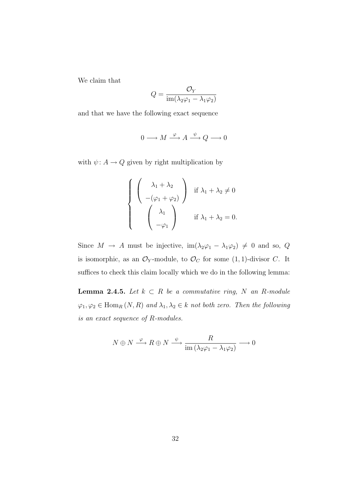We claim that

$$
Q=\frac{\mathcal{O}_Y}{\text{im}(\lambda_2\varphi_1-\lambda_1\varphi_2)}
$$

and that we have the following exact sequence

$$
0 \longrightarrow M \xrightarrow{\varphi} A \xrightarrow{\psi} Q \longrightarrow 0
$$

with  $\psi: A \to Q$  given by right multiplication by

$$
\begin{cases}\n\begin{pmatrix}\n\lambda_1 + \lambda_2 \\
-(\varphi_1 + \varphi_2)\n\end{pmatrix} & \text{if } \lambda_1 + \lambda_2 \neq 0 \\
\begin{pmatrix}\n\lambda_1 \\
-\varphi_1\n\end{pmatrix} & \text{if } \lambda_1 + \lambda_2 = 0.\n\end{cases}
$$

Since  $M \to A$  must be injective,  $im(\lambda_2\varphi_1 - \lambda_1\varphi_2) \neq 0$  and so,  $Q$ is isomorphic, as an  $\mathcal{O}_Y$ -module, to  $\mathcal{O}_C$  for some  $(1, 1)$ -divisor C. It suffices to check this claim locally which we do in the following lemma:

**Lemma 2.4.5.** *Let*  $k$  ⊂  $R$  *be a commutative ring,*  $N$  *an*  $R$ *-module*  $\varphi_1, \varphi_2 \in \text{Hom}_R(N, R)$  *and*  $\lambda_1, \lambda_2 \in k$  *not both zero. Then the following is an exact sequence of* R*-modules.*

$$
N \oplus N \xrightarrow{\varphi} R \oplus N \xrightarrow{\psi} \frac{R}{\text{im}\left(\lambda_2 \varphi_1 - \lambda_1 \varphi_2\right)} \longrightarrow 0
$$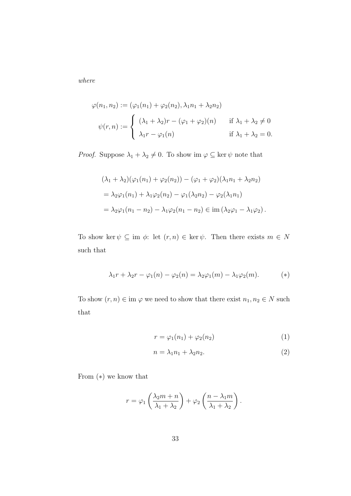*where*

$$
\varphi(n_1, n_2) := (\varphi_1(n_1) + \varphi_2(n_2), \lambda_1 n_1 + \lambda_2 n_2)
$$
  

$$
\psi(r, n) := \begin{cases} (\lambda_1 + \lambda_2)r - (\varphi_1 + \varphi_2)(n) & \text{if } \lambda_1 + \lambda_2 \neq 0 \\ \lambda_1 r - \varphi_1(n) & \text{if } \lambda_1 + \lambda_2 = 0. \end{cases}
$$

*Proof.* Suppose  $\lambda_1 + \lambda_2 \neq 0$ . To show im  $\varphi \subseteq \ker \psi$  note that

$$
(\lambda_1 + \lambda_2)(\varphi_1(n_1) + \varphi_2(n_2)) - (\varphi_1 + \varphi_2)(\lambda_1 n_1 + \lambda_2 n_2)
$$
  
=  $\lambda_2 \varphi_1(n_1) + \lambda_1 \varphi_2(n_2) - \varphi_1(\lambda_2 n_2) - \varphi_2(\lambda_1 n_1)$   
=  $\lambda_2 \varphi_1(n_1 - n_2) - \lambda_1 \varphi_2(n_1 - n_2) \in \text{im}(\lambda_2 \varphi_1 - \lambda_1 \varphi_2).$ 

To show ker  $\psi \subseteq \text{im } \phi: \text{ let } (r,n) \in \text{ker } \psi.$  Then there exists  $m \in N$ such that

$$
\lambda_1 r + \lambda_2 r - \varphi_1(n) - \varphi_2(n) = \lambda_2 \varphi_1(m) - \lambda_1 \varphi_2(m). \tag{*}
$$

To show  $(r,n)\in\operatorname{im}\varphi$  we need to show that there exist  $n_1,n_2\in N$  such that

$$
r = \varphi_1(n_1) + \varphi_2(n_2) \tag{1}
$$

$$
n = \lambda_1 n_1 + \lambda_2 n_2. \tag{2}
$$

From (∗) we know that

$$
r = \varphi_1 \left( \frac{\lambda_2 m + n}{\lambda_1 + \lambda_2} \right) + \varphi_2 \left( \frac{n - \lambda_1 m}{\lambda_1 + \lambda_2} \right).
$$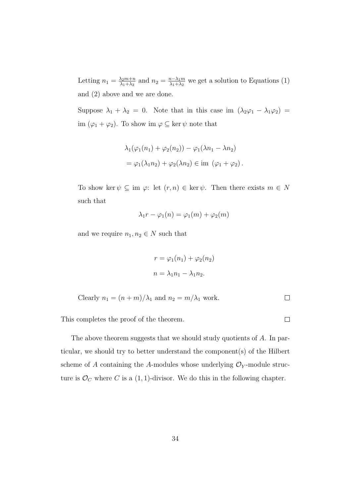Letting  $n_1 = \frac{\lambda_2 m + n}{\lambda_1 + \lambda_2}$  $\frac{\lambda_2 m + n}{\lambda_1 + \lambda_2}$  and  $n_2 = \frac{n - \lambda_1 m}{\lambda_1 + \lambda_2}$  $\frac{n-\lambda_1 m}{\lambda_1+\lambda_2}$  we get a solution to Equations (1) and (2) above and we are done.

Suppose  $\lambda_1 + \lambda_2 = 0$ . Note that in this case im  $(\lambda_2 \varphi_1 - \lambda_1 \varphi_2)$ im  $(\varphi_1 + \varphi_2)$ . To show im  $\varphi \subseteq \ker \psi$  note that

$$
\lambda_1(\varphi_1(n_1) + \varphi_2(n_2)) - \varphi_1(\lambda n_1 - \lambda n_2)
$$
  
= 
$$
\varphi_1(\lambda_1 n_2) + \varphi_2(\lambda n_2) \in \text{im } (\varphi_1 + \varphi_2).
$$

To show ker  $\psi \subseteq \text{im } \varphi: \text{ let } (r,n) \in \text{ker } \psi.$  Then there exists  $m \in N$ such that

$$
\lambda_1 r - \varphi_1(n) = \varphi_1(m) + \varphi_2(m)
$$

and we require  $n_1, n_2 \in N$  such that

$$
r = \varphi_1(n_1) + \varphi_2(n_2)
$$
  

$$
n = \lambda_1 n_1 - \lambda_1 n_2.
$$

Clearly 
$$
n_1 = (n+m)/\lambda_1
$$
 and  $n_2 = m/\lambda_1$  work.

 $\Box$ 

This completes the proof of the theorem.

The above theorem suggests that we should study quotients of A. In particular, we should try to better understand the component(s) of the Hilbert scheme of A containing the A-modules whose underlying  $\mathcal{O}_Y$ -module structure is  $\mathcal{O}_C$  where C is a  $(1, 1)$ -divisor. We do this in the following chapter.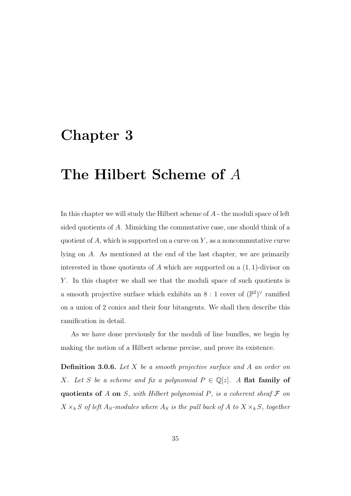# Chapter 3

# The Hilbert Scheme of A

In this chapter we will study the Hilbert scheme of A - the moduli space of left sided quotients of A. Mimicking the commutative case, one should think of a quotient of  $A$ , which is supported on a curve on  $Y$ , as a noncommutative curve lying on A. As mentioned at the end of the last chapter, we are primarily interested in those quotients of A which are supported on a  $(1, 1)$ -divisor on Y. In this chapter we shall see that the moduli space of such quotients is a smooth projective surface which exhibits an  $8:1$  cover of  $(\mathbb{P}^2)^{\vee}$  ramified on a union of 2 conics and their four bitangents. We shall then describe this ramification in detail.

As we have done previously for the moduli of line bundles, we begin by making the notion of a Hilbert scheme precise, and prove its existence.

Definition 3.0.6. *Let* X *be a smooth projective surface and* A *an order on X. Let* S *be a scheme and fix a polynomial*  $P \in \mathbb{Q}[z]$ *. A* flat family of quotients of  $A$  on  $S$ *, with Hilbert polynomial*  $P$ *, is a coherent sheaf*  $F$  *on*  $X \times_k S$  *of left*  $A_S$ -modules where  $A_S$  *is the pull back of* A *to*  $X \times_k S$ *, together*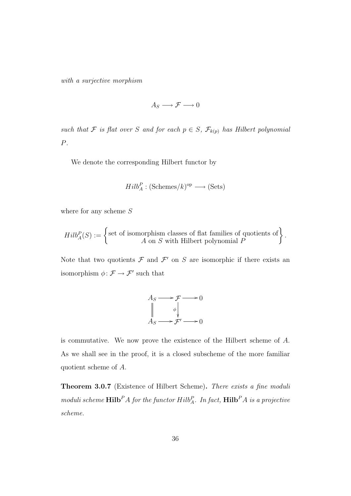*with a surjective morphism*

$$
A_S \longrightarrow \mathcal{F} \longrightarrow 0
$$

*such that*  $\mathcal F$  *is flat over* S *and for each*  $p \in S$ *,*  $\mathcal F_{k(p)}$  *has Hilbert polynomial* P*.*

We denote the corresponding Hilbert functor by

$$
Hilb_A^P : (\text{Schemes}/k)^{\text{op}} \longrightarrow (\text{Sets})
$$

where for any scheme  $S$ 

$$
Hilb_A^P(S) := \left\{ \begin{matrix} \text{set of isomorphism classes of flat families of quotients of} \\ A \text{ on } S \text{ with Hilbert polynomial } P \end{matrix} \right\}.
$$

Note that two quotients  $\mathcal F$  and  $\mathcal F'$  on S are isomorphic if there exists an isomorphism  $\phi \colon \mathcal{F} \to \mathcal{F}'$  such that



is commutative. We now prove the existence of the Hilbert scheme of A. As we shall see in the proof, it is a closed subscheme of the more familiar quotient scheme of A.

Theorem 3.0.7 (Existence of Hilbert Scheme). *There exists a fine moduli*  $\mathbf{m}$ *oduli scheme*  $\mathbf{Hilb}^P A$  *for the functor*  $Hilb_A^P$ *. In fact,*  $\mathbf{Hilb}^P A$  *is a projective scheme.*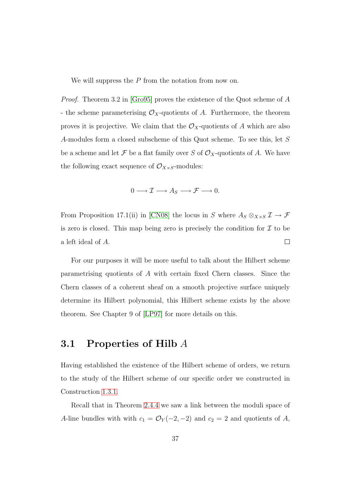We will suppress the  $P$  from the notation from now on.

*Proof.* Theorem 3.2 in [\[Gro95\]](#page-77-0) proves the existence of the Quot scheme of A - the scheme parameterising  $\mathcal{O}_X$ -quotients of A. Furthermore, the theorem proves it is projective. We claim that the  $\mathcal{O}_X$ -quotients of A which are also A-modules form a closed subscheme of this Quot scheme. To see this, let S be a scheme and let F be a flat family over S of  $\mathcal{O}_X$ -quotients of A. We have the following exact sequence of  $\mathcal{O}_{X\times S}$ -modules:

$$
0 \longrightarrow \mathcal{I} \longrightarrow A_S \longrightarrow \mathcal{F} \longrightarrow 0.
$$

From Proposition 17.1(ii) in [\[CN08\]](#page-77-1) the locus in S where  $A_S \otimes_{X \times S} \mathcal{I} \to \mathcal{F}$ is zero is closed. This map being zero is precisely the condition for  $\mathcal I$  to be a left ideal of A.  $\Box$ 

For our purposes it will be more useful to talk about the Hilbert scheme parametrising quotients of A with certain fixed Chern classes. Since the Chern classes of a coherent sheaf on a smooth projective surface uniquely determine its Hilbert polynomial, this Hilbert scheme exists by the above theorem. See Chapter 9 of [\[LP97\]](#page-78-0) for more details on this.

#### 3.1 Properties of Hilb A

Having established the existence of the Hilbert scheme of orders, we return to the study of the Hilbert scheme of our specific order we constructed in Construction [1.3.1.](#page-14-0)

Recall that in Theorem [2.4.4](#page-36-0) we saw a link between the moduli space of A-line bundles with with  $c_1 = \mathcal{O}_Y(-2, -2)$  and  $c_2 = 2$  and quotients of A,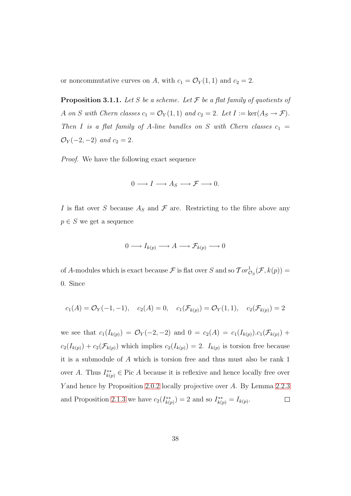<span id="page-44-0"></span>or noncommutative curves on A, with  $c_1 = \mathcal{O}_Y(1, 1)$  and  $c_2 = 2$ .

Proposition 3.1.1. *Let* S *be a scheme. Let* F *be a flat family of quotients of* A on S with Chern classes  $c_1 = \mathcal{O}_Y(1, 1)$  and  $c_2 = 2$ . Let  $I := \text{ker}(A_S \to \mathcal{F})$ . *Then I is a flat family of A-line bundles on S with Chern classes*  $c_1$  =  $\mathcal{O}_Y(-2,-2)$  *and*  $c_2 = 2$ *.* 

*Proof.* We have the following exact sequence

$$
0 \longrightarrow I \longrightarrow A_S \longrightarrow \mathcal{F} \longrightarrow 0.
$$

I is flat over S because  $A<sub>S</sub>$  and F are. Restricting to the fibre above any  $p \in S$  we get a sequence

$$
0 \longrightarrow I_{k(p)} \longrightarrow A \longrightarrow \mathcal{F}_{k(p)} \longrightarrow 0
$$

of A-modules which is exact because  $\mathcal F$  is flat over S and so  $Tor_{\mathcal{O}_S}^1(\mathcal F,k(p))=$ 0. Since

$$
c_1(A) = \mathcal{O}_Y(-1, -1), \quad c_2(A) = 0, \quad c_1(\mathcal{F}_{k(p)}) = \mathcal{O}_Y(1, 1), \quad c_2(\mathcal{F}_{k(p)}) = 2
$$

we see that  $c_1(I_{k(p)}) = \mathcal{O}_Y(-2, -2)$  and  $0 = c_2(A) = c_1(I_{k(p)}) \cdot c_1(\mathcal{F}_{k(p)}) +$  $c_2(I_{k(p)}) + c_2(\mathcal{F}_{k(p)})$  which implies  $c_2(I_{k(p)}) = 2$ .  $I_{k(p)}$  is torsion free because it is a submodule of A which is torsion free and thus must also be rank 1 over A. Thus  $I_{k(p)}^{**} \in \text{Pic } A$  because it is reflexive and hence locally free over Y and hence by Proposition [2.0.2](#page-21-0) locally projective over A. By Lemma [2.2.3](#page-28-0) and Proposition [2.1.3](#page-25-0) we have  $c_2(I_{k\alpha}^{**})$  $(k(p)) = 2$  and so  $I_{k(p)}^{**} = I_{k(p)}$ .  $\Box$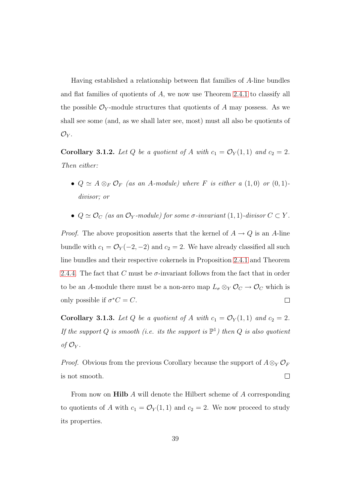Having established a relationship between flat families of A-line bundles and flat families of quotients of A, we now use Theorem [2.4.1](#page-33-0) to classify all the possible  $\mathcal{O}_Y$ -module structures that quotients of A may possess. As we shall see some (and, as we shall later see, most) must all also be quotients of  $\mathcal{O}_Y$ .

<span id="page-45-0"></span>**Corollary 3.1.2.** Let Q be a quotient of A with  $c_1 = \mathcal{O}_Y(1,1)$  and  $c_2 = 2$ . *Then either:*

- $Q \simeq A \otimes_F \mathcal{O}_F$  *(as an A-module) where F is either a* (1,0) *or* (0,1)*divisor; or*
- $Q \simeq \mathcal{O}_C$  (as an  $\mathcal{O}_Y$ *-module) for some*  $\sigma$ *-invariant* (1, 1)*-divisor*  $C \subset Y$ *.*

*Proof.* The above proposition asserts that the kernel of  $A \rightarrow Q$  is an A-line bundle with  $c_1 = \mathcal{O}_Y(-2, -2)$  and  $c_2 = 2$ . We have already classified all such line bundles and their respective cokernels in Proposition [2.4.1](#page-33-0) and Theorem [2.4.4.](#page-36-0) The fact that C must be  $\sigma$ -invariant follows from the fact that in order to be an A-module there must be a non-zero map  $L_{\sigma} \otimes_{Y} \mathcal{O}_{C} \to \mathcal{O}_{C}$  which is only possible if  $\sigma^*C = C$ .  $\Box$ 

<span id="page-45-1"></span>**Corollary 3.1.3.** Let Q be a quotient of A with  $c_1 = \mathcal{O}_Y(1, 1)$  and  $c_2 = 2$ . *If the support* Q *is smooth (i.e. its the support is* P 1 *) then* Q *is also quotient of*  $\mathcal{O}_Y$ *.* 

*Proof.* Obvious from the previous Corollary because the support of  $A \otimes_Y \mathcal{O}_F$ is not smooth.  $\Box$ 

From now on **Hilb** A will denote the Hilbert scheme of A corresponding to quotients of A with  $c_1 = \mathcal{O}_Y(1, 1)$  and  $c_2 = 2$ . We now proceed to study its properties.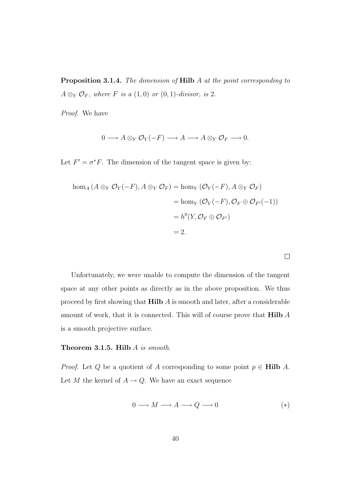Proposition 3.1.4. *The dimension of* Hilb A *at the point corresponding to*  $A \otimes_Y \mathcal{O}_F$ *, where F is a* (1,0) *or* (0,1)*-divisor, is* 2*.* 

*Proof.* We have

$$
0 \longrightarrow A \otimes_Y \mathcal{O}_Y(-F) \longrightarrow A \longrightarrow A \otimes_Y \mathcal{O}_F \longrightarrow 0.
$$

Let  $F' = \sigma^* F$ . The dimension of the tangent space is given by:

$$
\begin{aligned} \text{hom}_A \left( A \otimes_Y \mathcal{O}_Y(-F), A \otimes_Y \mathcal{O}_F \right) &= \text{hom}_Y \left( \mathcal{O}_Y(-F), A \otimes_Y \mathcal{O}_F \right) \\ &= \text{hom}_Y \left( \mathcal{O}_Y(-F), \mathcal{O}_F \oplus \mathcal{O}_{F'}(-1) \right) \\ &= h^0(Y, \mathcal{O}_F \oplus \mathcal{O}_{F'}) \\ &= 2. \end{aligned}
$$

Unfortunately, we were unable to compute the dimension of the tangent space at any other points as directly as in the above proposition. We thus proceed by first showing that Hilb A is smooth and later, after a considerable amount of work, that it is connected. This will of course prove that Hilb A is a smooth projective surface.

#### Theorem 3.1.5. Hilb A *is smooth.*

*Proof.* Let Q be a quotient of A corresponding to some point  $p \in Hilb$  A. Let  $M$  the kernel of  $A \to Q.$  We have an exact sequence

$$
0 \longrightarrow M \longrightarrow A \longrightarrow Q \longrightarrow 0 \tag{*}
$$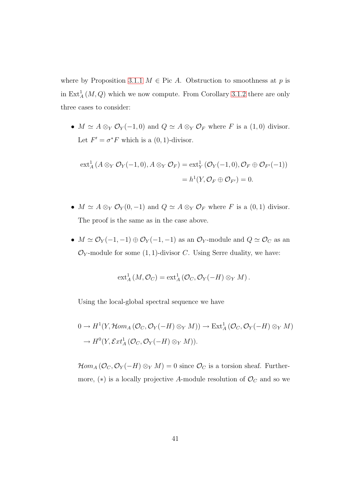where by Proposition [3.1.1](#page-44-0)  $M \in \text{Pic } A$ . Obstruction to smoothness at p is in  $\text{Ext}_{A}^{1}(M, Q)$  which we now compute. From Corollary [3.1.2](#page-45-0) there are only three cases to consider:

•  $M \simeq A \otimes_Y \mathcal{O}_Y(-1,0)$  and  $Q \simeq A \otimes_Y \mathcal{O}_F$  where F is a  $(1,0)$  divisor. Let  $F' = \sigma^* F$  which is a  $(0, 1)$ -divisor.

$$
\operatorname{ext}^1_A(A \otimes_Y \mathcal{O}_Y(-1,0), A \otimes_Y \mathcal{O}_F) = \operatorname{ext}^1_Y(\mathcal{O}_Y(-1,0), \mathcal{O}_F \oplus \mathcal{O}_{F'}(-1))
$$
  
=  $h^1(Y, \mathcal{O}_F \oplus \mathcal{O}_{F'}) = 0.$ 

- $M \simeq A \otimes_Y \mathcal{O}_Y(0, -1)$  and  $Q \simeq A \otimes_Y \mathcal{O}_F$  where F is a  $(0, 1)$  divisor. The proof is the same as in the case above.
- $M \simeq \mathcal{O}_Y(-1,-1) \oplus \mathcal{O}_Y(-1,-1)$  as an  $\mathcal{O}_Y$ -module and  $Q \simeq \mathcal{O}_C$  as an  $\mathcal{O}_Y$ -module for some  $(1, 1)$ -divisor C. Using Serre duality, we have:

$$
\operatorname{ext}^1_A(M,\mathcal{O}_C)=\operatorname{ext}^1_A(\mathcal{O}_C,\mathcal{O}_Y(-H)\otimes_Y M).
$$

Using the local-global spectral sequence we have

$$
0 \to H^1(Y, \mathcal{H}om_A(\mathcal{O}_C, \mathcal{O}_Y(-H) \otimes_Y M)) \to \text{Ext}^1_A(\mathcal{O}_C, \mathcal{O}_Y(-H) \otimes_Y M)
$$
  

$$
\to H^0(Y, \mathcal{E}xt^1_A(\mathcal{O}_C, \mathcal{O}_Y(-H) \otimes_Y M)).
$$

 $\mathcal{H}om_A(\mathcal{O}_C, \mathcal{O}_Y(-H) \otimes_Y M) = 0$  since  $\mathcal{O}_C$  is a torsion sheaf. Furthermore,  $(*)$  is a locally projective A-module resolution of  $\mathcal{O}_C$  and so we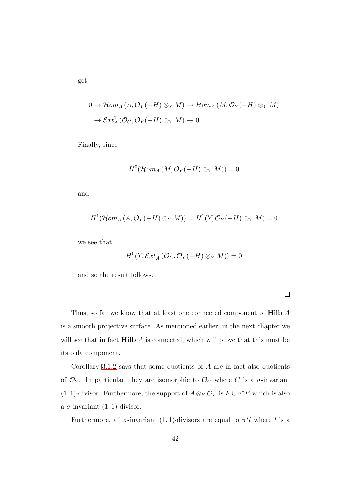$$
0 \to \mathcal{H}om_A(A, \mathcal{O}_Y(-H) \otimes_Y M) \to \mathcal{H}om_A(M, \mathcal{O}_Y(-H) \otimes_Y M)
$$
  

$$
\to \mathcal{E}xt_A^1(\mathcal{O}_C, \mathcal{O}_Y(-H) \otimes_Y M) \to 0.
$$

Finally, since

$$
H^0(\mathcal{H}om_A(M,\mathcal{O}_Y(-H)\otimes_Y M))=0
$$

and

$$
H^1(\mathcal{H}om_A(A,\mathcal{O}_Y(-H)\otimes_Y M))=H^1(Y,\mathcal{O}_Y(-H)\otimes_Y M)=0
$$

we see that

$$
H^0(Y, \mathcal{E}xt^1_A(\mathcal{O}_C, \mathcal{O}_Y(-H) \otimes_Y M)) = 0
$$

and so the result follows.

Thus, so far we know that at least one connected component of **Hilb** A is a smooth projective surface. As mentioned earlier, in the next chapter we will see that in fact  $Hilb A$  is connected, which will prove that this must be its only component.

Corollary [3.1.2](#page-45-0) says that some quotients of  $A$  are in fact also quotients of  $\mathcal{O}_Y$ . In particular, they are isomorphic to  $\mathcal{O}_C$  where C is a  $\sigma$ -invariant (1, 1)-divisor. Furthermore, the support of  $A \otimes_Y \mathcal{O}_F$  is  $F \cup \sigma^* F$  which is also a  $\sigma$ -invariant  $(1, 1)$ -divisor.

Furthermore, all  $\sigma$ -invariant (1, 1)-divisors are equal to  $\pi^*l$  where l is a

get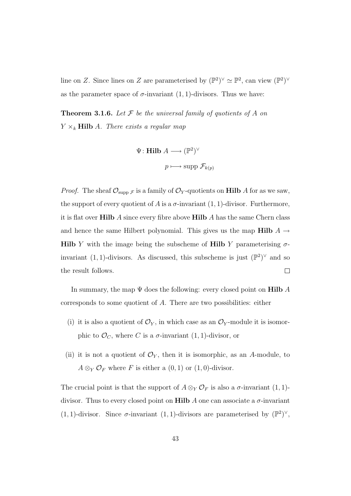<span id="page-49-0"></span>line on Z. Since lines on Z are parameterised by  $(\mathbb{P}^2)^{\vee} \simeq \mathbb{P}^2$ , can view  $(\mathbb{P}^2)^{\vee}$ as the parameter space of  $\sigma$ -invariant (1, 1)-divisors. Thus we have:

Theorem 3.1.6. *Let* F *be the universal family of quotients of* A *on*  $Y \times_k$  **Hilb** A. There exists a regular map

$$
\Psi: \mathbf{Hilb} \; A \longrightarrow (\mathbb{P}^2)^{\vee}
$$

$$
p \longmapsto \mathrm{supp} \; \mathcal{F}_{k(p)}
$$

*Proof.* The sheaf  $\mathcal{O}_{\text{supp }\mathcal{F}}$  is a family of  $\mathcal{O}_Y$ -quotients on **Hilb** A for as we saw, the support of every quotient of A is a  $\sigma$ -invariant (1, 1)-divisor. Furthermore, it is flat over  $\textbf{Hilb} A$  since every fibre above  $\textbf{Hilb} A$  has the same Chern class and hence the same Hilbert polynomial. This gives us the map Hilb  $A \rightarrow$ **Hilb** Y with the image being the subscheme of **Hilb** Y parameterising  $\sigma$ invariant  $(1, 1)$ -divisors. As discussed, this subscheme is just  $(\mathbb{P}^2)^{\vee}$  and so  $\Box$ the result follows.

In summary, the map  $\Psi$  does the following: every closed point on **Hilb** A corresponds to some quotient of A. There are two possibilities: either

- (i) it is also a quotient of  $\mathcal{O}_Y$ , in which case as an  $\mathcal{O}_Y$ -module it is isomorphic to  $\mathcal{O}_C$ , where C is a  $\sigma$ -invariant  $(1, 1)$ -divisor, or
- (ii) it is not a quotient of  $\mathcal{O}_Y$ , then it is isomorphic, as an A-module, to  $A \otimes_Y \mathcal{O}_F$  where F is either a  $(0, 1)$  or  $(1, 0)$ -divisor.

The crucial point is that the support of  $A \otimes_Y \mathcal{O}_F$  is also a  $\sigma$ -invariant  $(1, 1)$ divisor. Thus to every closed point on **Hilb** A one can associate a  $\sigma$ -invariant (1, 1)-divisor. Since  $\sigma$ -invariant (1, 1)-divisors are parameterised by  $(\mathbb{P}^2)^{\vee}$ ,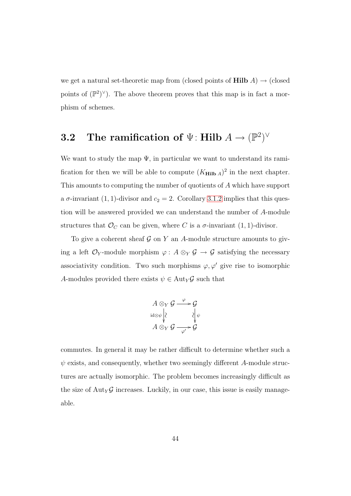we get a natural set-theoretic map from (closed points of **Hilb**  $A$ )  $\rightarrow$  (closed points of  $(\mathbb{P}^2)^{\vee}$ ). The above theorem proves that this map is in fact a morphism of schemes.

### $\textbf{3.2} \quad \textbf{The ramification of} \,\, \Psi \colon \textbf{Hilb} \,\, A \to (\mathbb{P}^2)^\vee$

We want to study the map  $\Psi$ , in particular we want to understand its ramification for then we will be able to compute  $(K_{\text{Hilb }A})^2$  in the next chapter. This amounts to computing the number of quotients of A which have support a  $\sigma$ -invariant (1, 1)-divisor and  $c_2 = 2$ . Corollary [3.1.2](#page-45-0) implies that this question will be answered provided we can understand the number of A-module structures that  $\mathcal{O}_C$  can be given, where C is a  $\sigma$ -invariant  $(1, 1)$ -divisor.

To give a coherent sheaf  $\mathcal G$  on Y an A-module structure amounts to giving a left  $\mathcal{O}_Y$ -module morphism  $\varphi: A \otimes_Y \mathcal{G} \to \mathcal{G}$  satisfying the necessary associativity condition. Two such morphisms  $\varphi, \varphi'$  give rise to isomorphic A-modules provided there exists  $\psi \in \text{Aut}_Y \mathcal{G}$  such that

$$
A \otimes_Y \mathcal{G} \xrightarrow{\varphi} \mathcal{G}
$$
  
id $\otimes \psi$   $\downarrow$   $\downarrow$   $\downarrow \psi$   

$$
A \otimes_Y \mathcal{G} \xrightarrow{\varphi'} \mathcal{G}
$$

commutes. In general it may be rather difficult to determine whether such a  $\psi$  exists, and consequently, whether two seemingly different A-module structures are actually isomorphic. The problem becomes increasingly difficult as the size of  $\text{Aut}_{Y} \mathcal{G}$  increases. Luckily, in our case, this issue is easily manageable.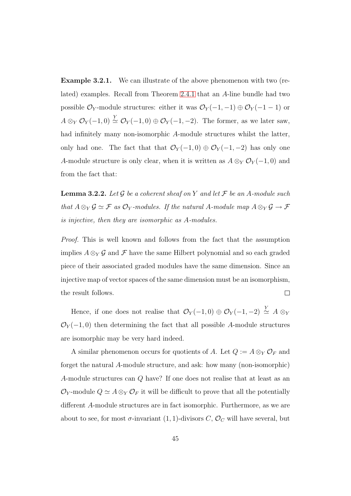Example 3.2.1. We can illustrate of the above phenomenon with two (related) examples. Recall from Theorem [2.4.1](#page-33-0) that an A-line bundle had two possible  $\mathcal{O}_Y$ -module structures: either it was  $\mathcal{O}_Y(-1,-1) \oplus \mathcal{O}_Y(-1-1)$  or  $A \otimes_Y \mathcal{O}_Y(-1,0) \stackrel{Y}{\simeq} \mathcal{O}_Y(-1,0) \oplus \mathcal{O}_Y(-1,-2)$ . The former, as we later saw, had infinitely many non-isomorphic A-module structures whilst the latter, only had one. The fact that that  $\mathcal{O}_Y(-1,0) \oplus \mathcal{O}_Y(-1,-2)$  has only one A-module structure is only clear, when it is written as  $A \otimes_Y \mathcal{O}_Y(-1,0)$  and from the fact that:

<span id="page-51-0"></span>Lemma 3.2.2. *Let* G *be a coherent sheaf on* Y *and let* F *be an* A*-module such that*  $A \otimes_Y \mathcal{G} \simeq \mathcal{F}$  *as*  $\mathcal{O}_Y$ *-modules. If the natural* A*-module map*  $A \otimes_Y \mathcal{G} \to \mathcal{F}$ *is injective, then they are isomorphic as* A*-modules.*

*Proof.* This is well known and follows from the fact that the assumption implies  $A \otimes_Y \mathcal{G}$  and  $\mathcal{F}$  have the same Hilbert polynomial and so each graded piece of their associated graded modules have the same dimension. Since an injective map of vector spaces of the same dimension must be an isomorphism, the result follows.  $\Box$ 

Hence, if one does not realise that  $\mathcal{O}_Y(-1,0) \oplus \mathcal{O}_Y(-1,-2) \stackrel{Y}{\simeq} A \otimes_Y$  $\mathcal{O}_Y(-1,0)$  then determining the fact that all possible A-module structures are isomorphic may be very hard indeed.

A similar phenomenon occurs for quotients of A. Let  $Q := A \otimes_Y \mathcal{O}_F$  and forget the natural A-module structure, and ask: how many (non-isomorphic) A-module structures can Q have? If one does not realise that at least as an  $\mathcal{O}_Y$ -module  $Q \simeq A \otimes_Y \mathcal{O}_F$  it will be difficult to prove that all the potentially different A-module structures are in fact isomorphic. Furthermore, as we are about to see, for most  $\sigma$ -invariant  $(1, 1)$ -divisors C,  $\mathcal{O}_C$  will have several, but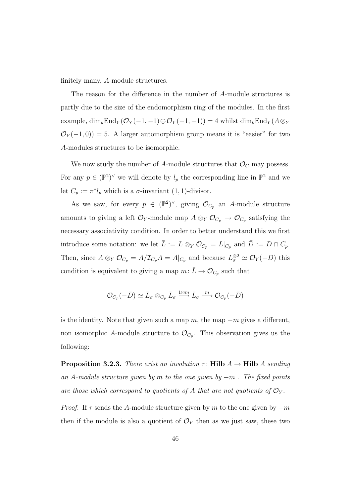finitely many, A-module structures.

The reason for the difference in the number of A-module structures is partly due to the size of the endomorphism ring of the modules. In the first example,  $\dim_k \text{End}_Y(\mathcal{O}_Y(-1,-1)) \oplus \mathcal{O}_Y(-1,-1)) = 4$  whilst  $\dim_k \text{End}_Y(A \otimes_Y Y)$  $\mathcal{O}_Y(-1,0)$  = 5. A larger automorphism group means it is "easier" for two A-modules structures to be isomorphic.

We now study the number of A-module structures that  $\mathcal{O}_C$  may possess. For any  $p \in (\mathbb{P}^2)^{\vee}$  we will denote by  $l_p$  the corresponding line in  $\mathbb{P}^2$  and we let  $C_p := \pi^* l_p$  which is a  $\sigma$ -invariant  $(1, 1)$ -divisor.

As we saw, for every  $p \in (\mathbb{P}^2)^{\vee}$ , giving  $\mathcal{O}_{C_p}$  an A-module structure amounts to giving a left  $\mathcal{O}_Y$ -module map  $A \otimes_Y \mathcal{O}_{C_p} \to \mathcal{O}_{C_p}$  satisfying the necessary associativity condition. In order to better understand this we first introduce some notation: we let  $\overline{L} := L \otimes_Y \mathcal{O}_{C_p} = L|_{C_p}$  and  $\overline{D} := D \cap C_p$ . Then, since  $A \otimes_Y \mathcal{O}_{C_p} = A/\mathcal{I}_{C_p}A = A|_{C_p}$  and because  $L^{\otimes 2}_{\sigma} \simeq \mathcal{O}_Y(-D)$  this condition is equivalent to giving a map  $m: \bar{L} \to \mathcal{O}_{C_p}$  such that

$$
\mathcal{O}_{C_p}(-\bar D)\simeq \bar L_\sigma\otimes_{C_p}\bar L_\sigma \stackrel{1\otimes m}{\longrightarrow} \bar L_\sigma \stackrel{m}{\longrightarrow} \mathcal{O}_{C_p}(-\bar D)
$$

<span id="page-52-0"></span>is the identity. Note that given such a map  $m$ , the map  $-m$  gives a different, non isomorphic A-module structure to  $\mathcal{O}_{C_p}$ . This observation gives us the following:

**Proposition 3.2.3.** *There exist an involution*  $\tau$ : **Hilb**  $A \rightarrow$  **Hilb**  $A$  *sending an* A*-module structure given by* m *to the one given by* −m *. The fixed points* are those which correspond to quotients of A that are not quotients of  $\mathcal{O}_Y$ .

*Proof.* If  $\tau$  sends the A-module structure given by m to the one given by  $-m$ then if the module is also a quotient of  $\mathcal{O}_Y$  then as we just saw, these two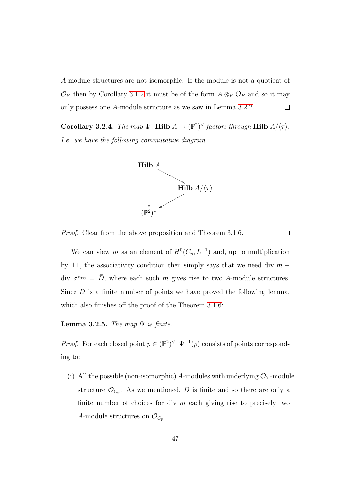A-module structures are not isomorphic. If the module is not a quotient of  $\mathcal{O}_Y$  then by Corollary [3.1.2](#page-45-0) it must be of the form  $A \otimes_Y \mathcal{O}_F$  and so it may only possess one A-module structure as we saw in Lemma [3.2.2.](#page-51-0)  $\Box$ 

<span id="page-53-1"></span>Corollary 3.2.4. *The map*  $\Psi$ : Hilb  $A \to (\mathbb{P}^2)^{\vee}$  *factors through* Hilb  $A/\langle \tau \rangle$ . *I.e. we have the following commutative diagram*



*Proof.* Clear from the above proposition and Theorem [3.1.6.](#page-49-0)

 $\Box$ 

We can view m as an element of  $H^0(C_p, \bar{L}^{-1})$  and, up to multiplication by  $\pm 1$ , the associativity condition then simply says that we need div  $m +$ div  $\sigma^* m = \bar{D}$ , where each such m gives rise to two A-module structures. Since  $\bar{D}$  is a finite number of points we have proved the following lemma, which also finishes off the proof of the Theorem [3.1.6:](#page-49-0)

<span id="page-53-0"></span>**Lemma 3.2.5.** *The map*  $\Psi$  *is finite.* 

*Proof.* For each closed point  $p \in (\mathbb{P}^2)^{\vee}$ ,  $\Psi^{-1}(p)$  consists of points corresponding to:

(i) All the possible (non-isomorphic) A-modules with underlying  $\mathcal{O}_Y$ -module structure  $\mathcal{O}_{C_p}$ . As we mentioned,  $\bar{D}$  is finite and so there are only a finite number of choices for div  $m$  each giving rise to precisely two A-module structures on  $\mathcal{O}_{C_p}$ .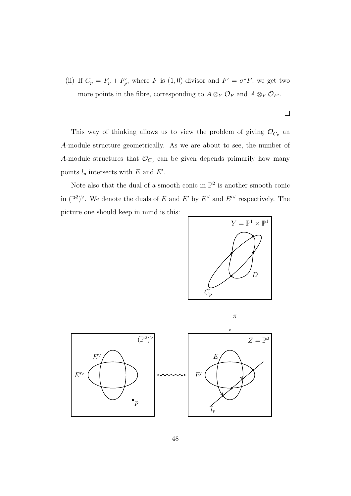(ii) If  $C_p = F_p + F'_p$ <sup>*p*</sup>, where *F* is (1,0)-divisor and  $F' = \sigma^* F$ , we get two more points in the fibre, corresponding to  $A \otimes_Y \mathcal{O}_F$  and  $A \otimes_Y \mathcal{O}_{F'}$ .

 $\Box$ 

This way of thinking allows us to view the problem of giving  $\mathcal{O}_{C_p}$  and A-module structure geometrically. As we are about to see, the number of A-module structures that  $\mathcal{O}_{C_p}$  can be given depends primarily how many points  $l_p$  intersects with E and E'.

Note also that the dual of a smooth conic in  $\mathbb{P}^2$  is another smooth conic in  $(\mathbb{P}^2)^{\vee}$ . We denote the duals of E and E' by  $E^{\vee}$  and  $E^{\prime\vee}$  respectively. The picture one should keep in mind is this:

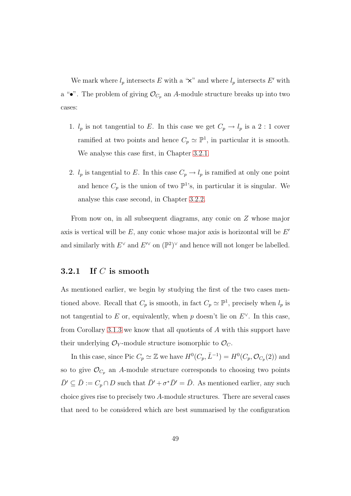We mark where  $l_p$  intersects E with a " $\times$ " and where  $l_p$  intersects E' with a " $\bullet$ ". The problem of giving  $\mathcal{O}_{C_p}$  an A-module structure breaks up into two cases:

- 1.  $l_p$  is not tangential to E. In this case we get  $C_p \to l_p$  is a 2 : 1 cover ramified at two points and hence  $C_p \simeq \mathbb{P}^1$ , in particular it is smooth. We analyse this case first, in Chapter [3.2.1.](#page-55-0)
- 2.  $l_p$  is tangential to E. In this case  $C_p \to l_p$  is ramified at only one point and hence  $C_p$  is the union of two  $\mathbb{P}^1$ 's, in particular it is singular. We analyse this case second, in Chapter [3.2.2.](#page-62-0)

From now on, in all subsequent diagrams, any conic on Z whose major axis is vertical will be  $E$ , any conic whose major axis is horizontal will be  $E'$ and similarly with  $E^{\vee}$  and  $E^{\prime\prime}$  on  $(\mathbb{P}^2)^{\vee}$  and hence will not longer be labelled.

#### <span id="page-55-0"></span>3.2.1 If  $C$  is smooth

As mentioned earlier, we begin by studying the first of the two cases mentioned above. Recall that  $C_p$  is smooth, in fact  $C_p \simeq \mathbb{P}^1$ , precisely when  $l_p$  is not tangential to E or, equivalently, when p doesn't lie on  $E^{\vee}$ . In this case, from Corollary [3.1.3](#page-45-1) we know that all quotients of A with this support have their underlying  $\mathcal{O}_Y$ -module structure isomorphic to  $\mathcal{O}_C$ .

In this case, since Pic  $C_p \simeq \mathbb{Z}$  we have  $H^0(C_p, \bar{L}^{-1}) = H^0(C_p, \mathcal{O}_{C_p}(2))$  and so to give  $\mathcal{O}_{C_n}$  an A-module structure corresponds to choosing two points  $\bar{D}' \subseteq \bar{D} := C_p \cap D$  such that  $\bar{D}' + \sigma^* \bar{D}' = \bar{D}$ . As mentioned earlier, any such choice gives rise to precisely two A-module structures. There are several cases that need to be considered which are best summarised by the configuration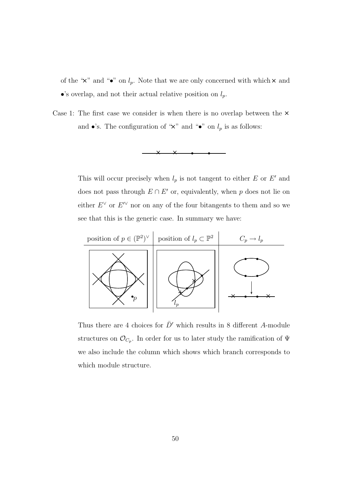of the " $\times$ " and " $\bullet$ " on  $l_p$ . Note that we are only concerned with which  $\times$  and •'s overlap, and not their actual relative position on  $l_p$ .

Case 1: The first case we consider is when there is no overlap between the  $\times$ and •'s. The configuration of " $\times$ " and "•" on  $l_p$  is as follows:



This will occur precisely when  $l_p$  is not tangent to either E or E' and does not pass through  $E \cap E'$  or, equivalently, when p does not lie on either  $E^{\vee}$  or  $E^{\prime\vee}$  nor on any of the four bitangents to them and so we see that this is the generic case. In summary we have:



Thus there are 4 choices for  $\bar{D}'$  which results in 8 different A-module structures on  $\mathcal{O}_{C_p}$ . In order for us to later study the ramification of  $\Psi$ we also include the column which shows which branch corresponds to which module structure.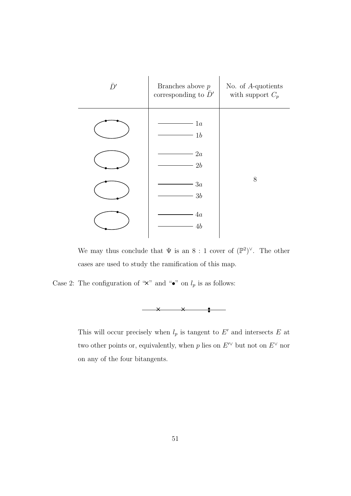

We may thus conclude that  $\Psi$  is an  $8:1$  cover of  $(\mathbb{P}^2)^{\vee}$ . The other cases are used to study the ramification of this map.

Case 2: The configuration of " $\times$ " and " $\bullet$ " on  $l_p$  is as follows:



This will occur precisely when  $l_p$  is tangent to E' and intersects E at two other points or, equivalently, when p lies on  $E^{\prime\vee}$  but not on  $E^{\vee}$  nor on any of the four bitangents.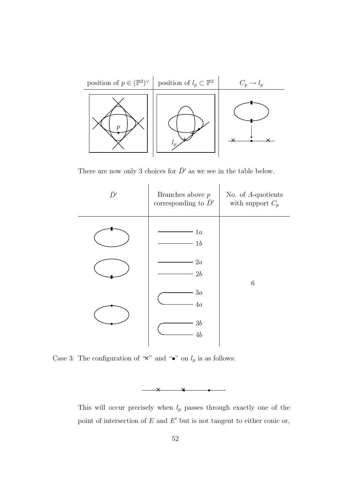

There are now only 3 choices for  $\bar{D}'$  as we see in the table below.



Case 3: The configuration of " $\times$ " and " $\bullet$ " on  $l_p$  is as follows:

This will occur precisely when  $l_p$  passes through exactly one of the point of intersection of  $E$  and  $E'$  but is not tangent to either conic or,

 $\times$   $\times$   $\times$  $\star$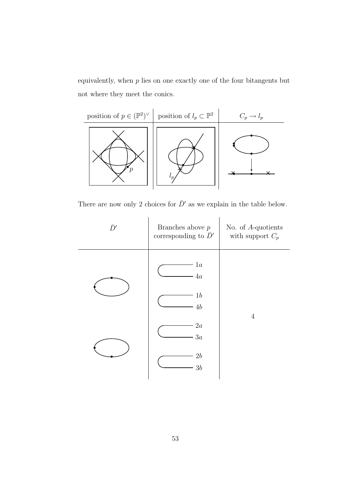equivalently, when  $p$  lies on one exactly one of the four bitangents but not where they meet the conics.



There are now only 2 choices for  $\bar{D}'$  as we explain in the table below.

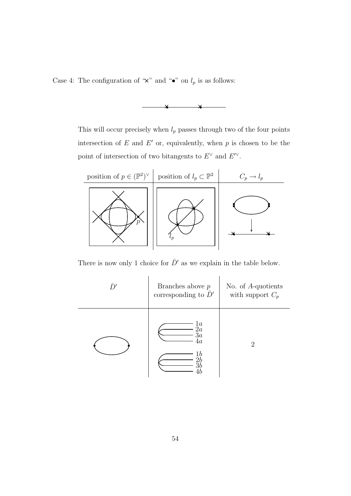Case 4: The configuration of " $\times$ " and " $\bullet$ " on  $l_p$  is as follows:



This will occur precisely when  $l_p$  passes through two of the four points intersection of  $E$  and  $E'$  or, equivalently, when  $p$  is chosen to be the point of intersection of two bitangents to  $E^{\vee}$  and  $E^{\prime\vee}$ .



There is now only 1 choice for  $\bar{D}'$  as we explain in the table below.

| D' | Branches above $p$<br>corresponding to $\bar{D}'$ | No. of $A$ -quotients<br>with support $C_p$ |
|----|---------------------------------------------------|---------------------------------------------|
|    | 1a<br>2a<br>$3\overline{a}$<br>4a<br>1b           | $\mathcal{D}$                               |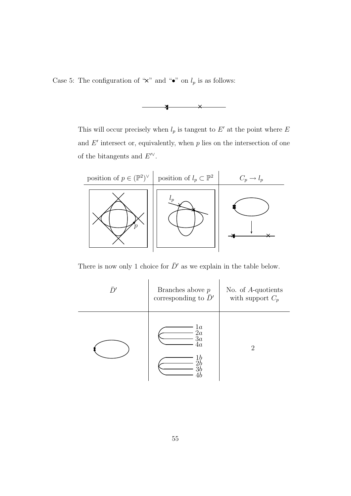Case 5: The configuration of " $\times$ " and " $\bullet$ " on  $l_p$  is as follows:



This will occur precisely when  $l_p$  is tangent to E' at the point where E and  $E'$  intersect or, equivalently, when  $p$  lies on the intersection of one of the bitangents and  $E^{\prime\vee}$ .



There is now only 1 choice for  $\bar{D}'$  as we explain in the table below.

| D' | Branches above $p$<br>corresponding to $\bar{D}'$ | No. of $A$ -quotients<br>with support $C_p$ |
|----|---------------------------------------------------|---------------------------------------------|
|    | $^{1a}_{2a}$<br>3a<br>$^{4a}$<br>1 b<br>2 b<br>ЗŁ | $\mathcal{D}_{\mathcal{L}}$                 |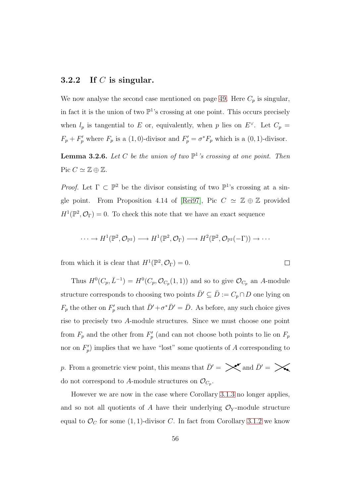#### <span id="page-62-0"></span>3.2.2 If C is singular.

We now analyse the second case mentioned on page [49.](#page-53-0) Here  $C_p$  is singular, in fact it is the union of two  $\mathbb{P}^1$ 's crossing at one point. This occurs precisely when  $l_p$  is tangential to E or, equivalently, when p lies on  $E^{\vee}$ . Let  $C_p =$  $F_p + F'_p$  where  $F_p$  is a (1,0)-divisor and  $F'_p = \sigma^* F_p$  which is a (0,1)-divisor.

**Lemma 3.2.6.** Let C be the union of two  $\mathbb{P}^1$ 's crossing at one point. Then Pic  $C \simeq \mathbb{Z} \oplus \mathbb{Z}$ .

*Proof.* Let  $\Gamma \subset \mathbb{P}^2$  be the divisor consisting of two  $\mathbb{P}^1$ 's crossing at a sin-gle point. From Proposition 4.14 of [\[Rei97\]](#page-78-1), Pic  $C \simeq \mathbb{Z} \oplus \mathbb{Z}$  provided  $H^1(\mathbb{P}^2, \mathcal{O}_\Gamma) = 0$ . To check this note that we have an exact sequence

$$
\cdots \to H^1(\mathbb{P}^2, \mathcal{O}_{\mathbb{P}^2}) \longrightarrow H^1(\mathbb{P}^2, \mathcal{O}_{\Gamma}) \longrightarrow H^2(\mathbb{P}^2, \mathcal{O}_{\mathbb{P}^2}(-\Gamma)) \to \cdots
$$

 $\Box$ 

from which it is clear that  $H^1(\mathbb{P}^2, \mathcal{O}_\Gamma) = 0$ .

Thus  $H^0(C_p, \bar{L}^{-1}) = H^0(C_p, \mathcal{O}_{C_p}(1, 1))$  and so to give  $\mathcal{O}_{C_p}$  an A-module structure corresponds to choosing two points  $\bar{D}' \subseteq \bar{D} := C_p \cap D$  one lying on  $F_p$  the other on  $F'_p$ <sup>*p*</sup> such that  $\bar{D}'+\sigma^*\bar{D}'=\bar{D}$ . As before, any such choice gives rise to precisely two A-module structures. Since we must choose one point from  $F_p$  and the other from  $F'_p$  $p'_{p}$  (and can not choose both points to lie on  $F_{p}$ ) nor on  $F'_p$  $_p^{\prime\prime}$ ) implies that we have "lost" some quotients of A corresponding to

p. From a geometric view point, this means that  $\bar{D}' = \sum_{n=1}^{\infty}$  and  $\bar{D}' = \sum_{n=1}^{\infty}$ do not correspond to A-module structures on  $\mathcal{O}_{C_p}$ .

However we are now in the case where Corollary [3.1.3](#page-45-1) no longer applies, and so not all quotients of A have their underlying  $\mathcal{O}_Y$ -module structure equal to  $\mathcal{O}_C$  for some (1, 1)-divisor C. In fact from Corollary [3.1.2](#page-45-0) we know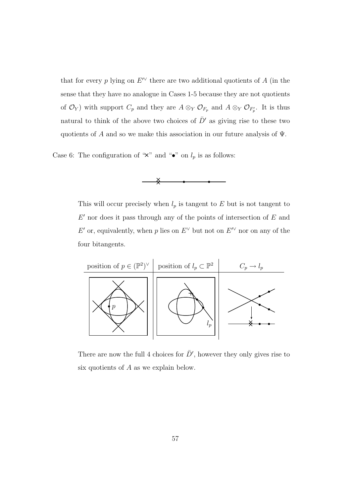that for every p lying on  $E^{\prime\vee}$  there are two additional quotients of A (in the sense that they have no analogue in Cases 1-5 because they are not quotients of  $\mathcal{O}_Y$ ) with support  $C_p$  and they are  $A \otimes_Y \mathcal{O}_{F_p}$  and  $A \otimes_Y \mathcal{O}_{F'_p}$ . It is thus natural to think of the above two choices of  $\bar{D}'$  as giving rise to these two quotients of A and so we make this association in our future analysis of  $\Psi$ .

Case 6: The configuration of " $\times$ " and " $\bullet$ " on  $l_p$  is as follows:



This will occur precisely when  $l_p$  is tangent to E but is not tangent to  $E'$  nor does it pass through any of the points of intersection of  $E$  and E' or, equivalently, when p lies on  $E^{\vee}$  but not on  $E^{\vee}$  nor on any of the four bitangents.



There are now the full 4 choices for  $\bar{D}'$ , however they only gives rise to six quotients of A as we explain below.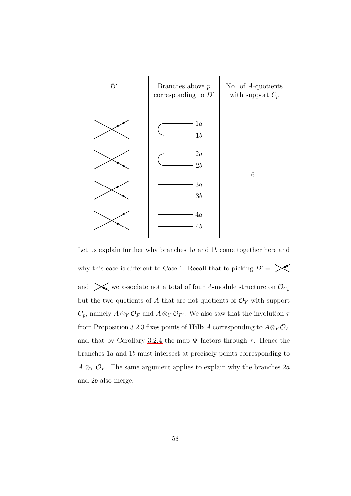

Let us explain further why branches  $1a$  and  $1b$  come together here and why this case is different to Case 1. Recall that to picking  $\bar{D}' = \sum_{n=1}^{\infty}$ and  $\mathcal{L}_{\bullet}$  we associate not a total of four A-module structure on  $\mathcal{O}_{C_p}$ but the two quotients of  $A$  that are not quotients of  $\mathcal{O}_Y$  with support  $C_p$ , namely  $A \otimes_Y \mathcal{O}_F$  and  $A \otimes_Y \mathcal{O}_{F'}$ . We also saw that the involution  $\tau$ from Proposition [3.2.3](#page-52-0) fixes points of Hilb A corresponding to  $A \otimes_Y \mathcal{O}_F$ and that by Corollary [3.2.4](#page-53-1) the map  $\Psi$  factors through  $\tau$ . Hence the branches 1a and 1b must intersect at precisely points corresponding to  $A \otimes_Y \mathcal{O}_F$ . The same argument applies to explain why the branches  $2a$ and 2b also merge.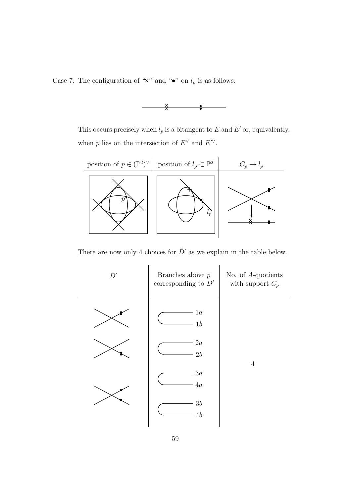Case 7: The configuration of " $\times$ " and " $\bullet$ " on  $l_p$  is as follows:



This occurs precisely when  $l_p$  is a bitangent to E and E' or, equivalently, when p lies on the intersection of  $E^{\vee}$  and  $E^{\prime\vee}$ .



There are now only 4 choices for  $\bar{D}'$  as we explain in the table below.

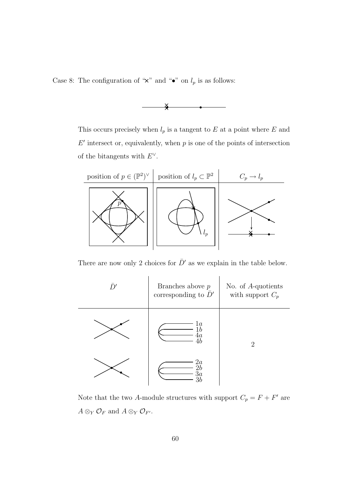Case 8: The configuration of " $\times$ " and " $\bullet$ " on  $l_p$  is as follows:



This occurs precisely when  $l_p$  is a tangent to E at a point where E and  $E'$  intersect or, equivalently, when  $p$  is one of the points of intersection of the bitangents with  $E^{\vee}$ .



There are now only 2 choices for  $\bar{D}'$  as we explain in the table below.



Note that the two A-module structures with support  $C_p = F + F'$  are  $A \otimes_Y \mathcal{O}_F$  and  $A \otimes_Y \mathcal{O}_{F'}$ .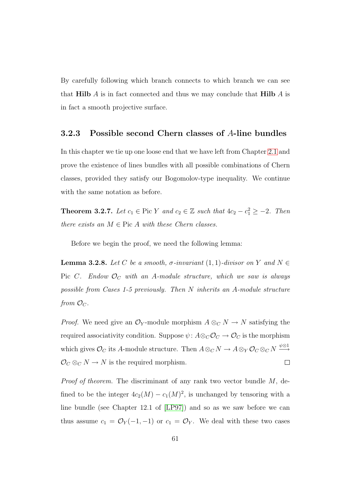By carefully following which branch connects to which branch we can see that Hilb  $\tilde{A}$  is in fact connected and thus we may conclude that Hilb  $\tilde{A}$  is in fact a smooth projective surface.

#### 3.2.3 Possible second Chern classes of A-line bundles

In this chapter we tie up one loose end that we have left from Chapter [2.1](#page-22-0) and prove the existence of lines bundles with all possible combinations of Chern classes, provided they satisfy our Bogomolov-type inequality. We continue with the same notation as before.

**Theorem 3.2.7.** *Let*  $c_1 \in \text{Pic } Y$  *and*  $c_2 \in \mathbb{Z}$  *such that*  $4c_2 - c_1^2 \geq -2$ *. Then there exists an*  $M \in \text{Pic } A$  *with these Chern classes.* 

Before we begin the proof, we need the following lemma:

<span id="page-67-0"></span>**Lemma 3.2.8.** *Let* C *be a smooth,*  $\sigma$ *-invariant* (1, 1)*-divisor on* Y *and*  $N \in$ Pic  $C$ . Endow  $\mathcal{O}_C$  with an A-module structure, which we saw is always *possible from Cases 1-5 previously. Then* N *inherits an* A*-module structure from*  $\mathcal{O}_C$ .

*Proof.* We need give an  $\mathcal{O}_Y$ -module morphism  $A \otimes_C N \to N$  satisfying the required associativity condition. Suppose  $\psi: A \otimes_C \mathcal{O}_C \to \mathcal{O}_C$  is the morphism which gives  $\mathcal{O}_C$  its A-module structure. Then  $A \otimes_C N \to A \otimes_Y \mathcal{O}_C \otimes_C N \xrightarrow{\psi \otimes 1}$  $\mathcal{O}_C \otimes_C N \to N$  is the required morphism.  $\Box$ 

*Proof of theorem.* The discriminant of any rank two vector bundle M, defined to be the integer  $4c_2(M) - c_1(M)^2$ , is unchanged by tensoring with a line bundle (see Chapter 12.1 of [\[LP97\]](#page-78-0)) and so as we saw before we can thus assume  $c_1 = \mathcal{O}_Y(-1, -1)$  or  $c_1 = \mathcal{O}_Y$ . We deal with these two cases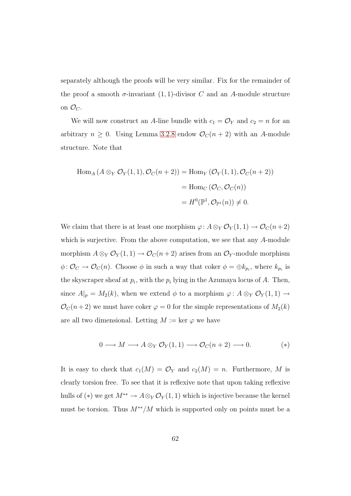separately although the proofs will be very similar. Fix for the remainder of the proof a smooth  $\sigma$ -invariant (1, 1)-divisor C and an A-module structure on  $\mathcal{O}_C$ .

We will now construct an A-line bundle with  $c_1 = \mathcal{O}_Y$  and  $c_2 = n$  for an arbitrary  $n \geq 0$ . Using Lemma [3.2.8](#page-67-0) endow  $\mathcal{O}_C(n+2)$  with an A-module structure. Note that

$$
\begin{aligned} \text{Hom}_A \left( A \otimes_Y \mathcal{O}_Y(1,1), \mathcal{O}_C(n+2) \right) &= \text{Hom}_Y \left( \mathcal{O}_Y(1,1), \mathcal{O}_C(n+2) \right) \\ &= \text{Hom}_C \left( \mathcal{O}_C, \mathcal{O}_C(n) \right) \\ &= H^0(\mathbb{P}^1, \mathcal{O}_{\mathbb{P}^1}(n)) \neq 0. \end{aligned}
$$

We claim that there is at least one morphism  $\varphi: A \otimes_Y \mathcal{O}_Y(1,1) \to \mathcal{O}_C(n+2)$ which is surjective. From the above computation, we see that any A-module morphism  $A \otimes_Y \mathcal{O}_Y(1,1) \to \mathcal{O}_C(n+2)$  arises from an  $\mathcal{O}_Y$ -module morphism  $\phi: \mathcal{O}_C \to \mathcal{O}_C(n)$ . Choose  $\phi$  in such a way that coker  $\phi = \bigoplus k_{p_i}$ , where  $k_{p_i}$  is the skyscraper sheaf at  $p_i$ , with the  $p_i$  lying in the Azumaya locus of A. Then, since  $A|_p = M_2(k)$ , when we extend  $\phi$  to a morphism  $\varphi: A \otimes_Y \mathcal{O}_Y(1,1) \to$  $\mathcal{O}_C(n+2)$  we must have coker  $\varphi = 0$  for the simple representations of  $M_2(k)$ are all two dimensional. Letting  $M := \text{ker } \varphi$  we have

$$
0 \longrightarrow M \longrightarrow A \otimes_Y \mathcal{O}_Y(1,1) \longrightarrow \mathcal{O}_C(n+2) \longrightarrow 0. \tag{*}
$$

It is easy to check that  $c_1(M) = \mathcal{O}_Y$  and  $c_2(M) = n$ . Furthermore, M is clearly torsion free. To see that it is reflexive note that upon taking reflexive hulls of (\*) we get  $M^{**} \to A \otimes_Y \mathcal{O}_Y(1,1)$  which is injective because the kernel must be torsion. Thus  $M^{**}/M$  which is supported only on points must be a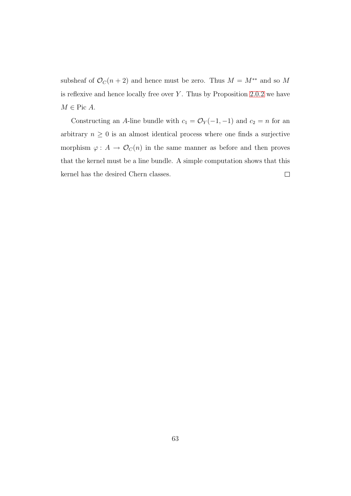subsheaf of  $\mathcal{O}_C(n+2)$  and hence must be zero. Thus  $M = M^{**}$  and so M is reflexive and hence locally free over  $Y$ . Thus by Proposition [2.0.2](#page-21-0) we have  $M \in \text{Pic } A$ .

Constructing an A-line bundle with  $c_1 = \mathcal{O}_Y(-1, -1)$  and  $c_2 = n$  for an arbitrary  $n \geq 0$  is an almost identical process where one finds a surjective morphism  $\varphi: A \to \mathcal{O}_C(n)$  in the same manner as before and then proves that the kernel must be a line bundle. A simple computation shows that this kernel has the desired Chern classes.  $\Box$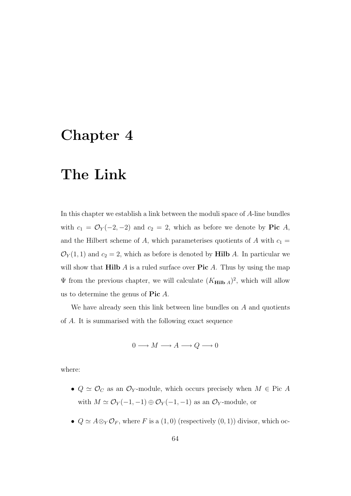## Chapter 4

# The Link

In this chapter we establish a link between the moduli space of A-line bundles with  $c_1 = \mathcal{O}_Y(-2, -2)$  and  $c_2 = 2$ , which as before we denote by **Pic** A, and the Hilbert scheme of A, which parameterises quotients of A with  $c_1 =$  $\mathcal{O}_Y(1,1)$  and  $c_2 = 2$ , which as before is denoted by **Hilb** A. In particular we will show that **Hilb**  $\vec{A}$  is a ruled surface over **Pic**  $\vec{A}$ . Thus by using the map  $\Psi$  from the previous chapter, we will calculate  $(K_{\text{Hilb }A})^2$ , which will allow us to determine the genus of  $Pic A$ .

We have already seen this link between line bundles on  $A$  and quotients of A. It is summarised with the following exact sequence

$$
0 \longrightarrow M \longrightarrow A \longrightarrow Q \longrightarrow 0
$$

where:

- $Q \simeq \mathcal{O}_C$  as an  $\mathcal{O}_Y$ -module, which occurs precisely when  $M \in \text{Pic } A$ with  $M \simeq \mathcal{O}_Y(-1,-1) \oplus \mathcal{O}_Y(-1,-1)$  as an  $\mathcal{O}_Y$ -module, or
- $Q \simeq A \otimes_Y \mathcal{O}_F$ , where F is a  $(1,0)$  (respectively  $(0,1)$ ) divisor, which oc-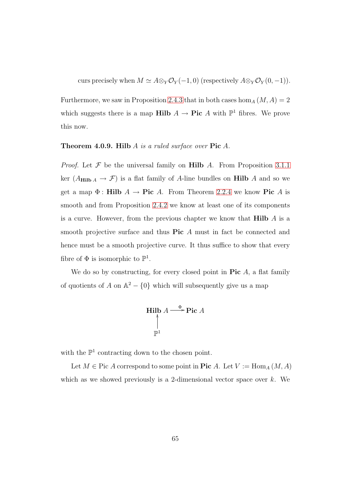curs precisely when  $M \simeq A \otimes_Y {\mathcal O}_Y(-1,0)$  (respectively  $A \otimes_Y {\mathcal O}_Y(0,-1)$ ).

Furthermore, we saw in Proposition [2.4.3](#page-35-0) that in both cases hom<sub>A</sub>  $(M, A) = 2$ which suggests there is a map **Hilb**  $A \to \textbf{Pic } A$  with  $\mathbb{P}^1$  fibres. We prove this now.

#### Theorem 4.0.9. Hilb A *is a ruled surface over* Pic A*.*

*Proof.* Let  $\mathcal F$  be the universal family on **Hilb** A. From Proposition [3.1.1](#page-44-0) ker  $(A_{\text{Hilb }A} \rightarrow \mathcal{F})$  is a flat family of A-line bundles on Hilb A and so we get a map  $\Phi$ : **Hilb**  $A \to \textbf{Pic } A$ . From Theorem [2.2.4](#page-29-0) we know Pic A is smooth and from Proposition [2.4.2](#page-34-0) we know at least one of its components is a curve. However, from the previous chapter we know that  $\textbf{Hilb}$  A is a smooth projective surface and thus **Pic** A must in fact be connected and hence must be a smooth projective curve. It thus suffice to show that every fibre of  $\Phi$  is isomorphic to  $\mathbb{P}^1$ .

We do so by constructing, for every closed point in  $Pic A$ , a flat family of quotients of A on  $\mathbb{A}^2 - \{0\}$  which will subsequently give us a map

$$
\text{Hilb } A \stackrel{\Phi}{\longrightarrow} \text{Pic } A
$$
\n
$$
\uparrow
$$
\n
$$
\mathbb{P}^1
$$

with the  $\mathbb{P}^1$  contracting down to the chosen point.

Let  $M \in \text{Pic } A$  correspond to some point in Pic A. Let  $V := \text{Hom}_A(M, A)$ which as we showed previously is a 2-dimensional vector space over  $k$ . We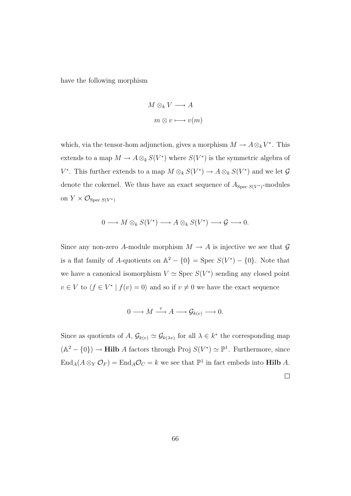have the following morphism

$$
M \otimes_k V \longrightarrow A
$$

$$
m \otimes v \longmapsto v(m)
$$

which, via the tensor-hom adjunction, gives a morphism  $M \to A \otimes_k V^*$ . This extends to a map  $M \to A\otimes_k S(V^*)$  where  $S(V^*)$  is the symmetric algebra of V<sup>\*</sup>. This further extends to a map  $M \otimes_k S(V^*) \to A \otimes_k S(V^*)$  and we let G denote the cokernel. We thus have an exact sequence of  $A_{\text{Spec }S(V^*)}$ -modules on  $Y \times \mathcal{O}_{\text{Spec } S(V^*)}$ 

$$
0 \longrightarrow M \otimes_k S(V^*) \longrightarrow A \otimes_k S(V^*) \longrightarrow \mathcal{G} \longrightarrow 0.
$$

Since any non-zero A-module morphism  $M \to A$  is injective we see that  $\mathcal G$ is a flat family of A-quotients on  $\mathbb{A}^2 - \{0\} = \text{Spec } S(V^*) - \{0\}.$  Note that we have a canonical isomorphism  $V \simeq$  Spec  $S(V^*)$  sending any closed point  $v \in V$  to  $\langle f \in V^* | f(v) = 0 \rangle$  and so if  $v \neq 0$  we have the exact sequence

$$
0 \longrightarrow M \xrightarrow{v} A \longrightarrow \mathcal{G}_{k(v)} \longrightarrow 0.
$$

Since as quotients of A,  $\mathcal{G}_{k(v)} \simeq \mathcal{G}_{k(\lambda v)}$  for all  $\lambda \in k^*$  the corresponding map  $(\mathbb{A}^2 - \{0\}) \to \textbf{Hilb}$  A factors through Proj  $S(V^*) \simeq \mathbb{P}^1$ . Furthermore, since  $\text{End}_A(A \otimes_Y \mathcal{O}_F) = \text{End}_A \mathcal{O}_C = k$  we see that  $\mathbb{P}^1$  in fact embeds into **Hilb** A.

 $\Box$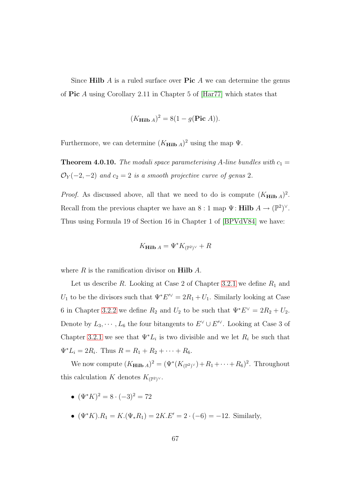Since Hilb  $\tilde{A}$  is a ruled surface over Pic  $\tilde{A}$  we can determine the genus of Pic A using Corollary 2.11 in Chapter 5 of [\[Har77\]](#page-77-0) which states that

$$
(K_{\text{Hilb }A})^2 = 8(1 - g(\text{Pic }A)).
$$

Furthermore, we can determine  $(K_{\text{Hilb }A})^2$  using the map  $\Psi$ .

**Theorem 4.0.10.** *The moduli space parameterising* A-line bundles with  $c_1 =$  $\mathcal{O}_Y(-2, -2)$  *and*  $c_2 = 2$  *is a smooth projective curve of genus* 2*.* 

*Proof.* As discussed above, all that we need to do is compute  $(K_{\text{Hilb }A})^2$ . Recall from the previous chapter we have an  $8:1$  map  $\Psi$ : **Hilb**  $A \to (\mathbb{P}^2)^{\vee}$ . Thus using Formula 19 of Section 16 in Chapter 1 of [\[BPVdV84\]](#page-76-0) we have:

$$
K_{\mathbf{Hilb}\,A} = \Psi^* K_{(\mathbb{P}^2)^\vee} + R
$$

where  $R$  is the ramification divisor on **Hilb**  $A$ .

Let us describe  $R$ . Looking at Case 2 of Chapter [3.2.1](#page-55-0) we define  $R_1$  and  $U_1$  to be the divisors such that  $\Psi^* E^{\prime \vee} = 2R_1 + U_1$ . Similarly looking at Case 6 in Chapter [3.2.2](#page-62-0) we define  $R_2$  and  $U_2$  to be such that  $\Psi^* E^{\vee} = 2R_2 + U_2$ . Denote by  $L_3, \cdots, L_6$  the four bitangents to  $E^{\vee} \cup E'^{\vee}$ . Looking at Case 3 of Chapter [3.2.1](#page-55-0) we see that  $\Psi^*L_i$  is two divisible and we let  $R_i$  be such that  $\Psi^*L_i = 2R_i$ . Thus  $R = R_1 + R_2 + \cdots + R_6$ .

We now compute  $(K_{\text{Hilb }A})^2 = (\Psi^*(K_{(\mathbb{P}^2)^\vee}) + R_1 + \cdots + R_6)^2$ . Throughout this calculation K denotes  $K_{(\mathbb{P}^2)^{\vee}}$ .

- $(\Psi^* K)^2 = 8 \cdot (-3)^2 = 72$
- $(\Psi^* K) \cdot R_1 = K \cdot (\Psi_* R_1) = 2K \cdot E' = 2 \cdot (-6) = -12$ . Similarly,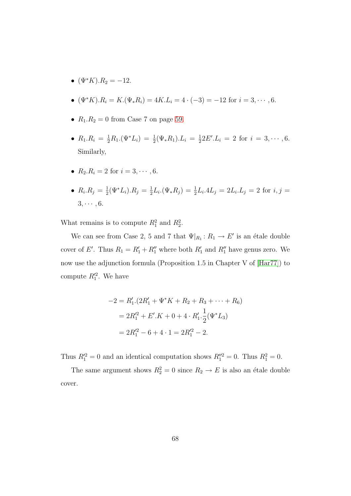- $(\Psi^* K) R_2 = -12.$
- $(\Psi^* K) R_i = K \cdot (\Psi_* R_i) = 4K \cdot L_i = 4 \cdot (-3) = -12$  for  $i = 3, \dots, 6$ .
- $R_1.R_2 = 0$  from Case 7 on page [59.](#page-62-1)
- $R_1.R_i = \frac{1}{2}R_1.(\Psi^*L_i) = \frac{1}{2}(\Psi_*R_1).L_i = \frac{1}{2}$  $\frac{1}{2}2E' L_i = 2$  for  $i = 3, \cdots, 6$ . Similarly,
- $R_2.R_i = 2$  for  $i = 3, \dots, 6$ .
- $R_i.R_j = \frac{1}{2}$  $\frac{1}{2}(\Psi^* L_i) . R_j = \frac{1}{2}$  $\frac{1}{2}L_i \cdot (\Psi_* R_j) = \frac{1}{2}L_i \cdot 4L_j = 2L_i \cdot L_j = 2$  for  $i, j =$  $3, \cdots, 6$ .

What remains is to compute  $R_1^2$  and  $R_2^2$ .

We can see from Case 2, 5 and 7 that  $\Psi|_{R_1}: R_1 \to E'$  is an étale double cover of E'. Thus  $R_1 = R_1' + R_1''$  where both  $R_1'$  and  $R_1''$  have genus zero. We now use the adjunction formula (Proposition 1.5 in Chapter V of [\[Har77\]](#page-77-0)) to compute  $R_1^2$ . We have

$$
-2 = R'_1.(2R'_1 + \Psi^* K + R_2 + R_3 + \dots + R_6)
$$
  
=  $2R'_1{}^2 + E'.K + 0 + 4 \cdot R'_1 \cdot \frac{1}{2}(\Psi^* L_3)$   
=  $2R'_1{}^2 - 6 + 4 \cdot 1 = 2R'_1{}^2 - 2$ .

Thus  $R_1^2 = 0$  and an identical computation shows  $R_1^{\prime\prime 2} = 0$ . Thus  $R_1^2 = 0$ .

The same argument shows  $R_2^2 = 0$  since  $R_2 \to E$  is also an étale double cover.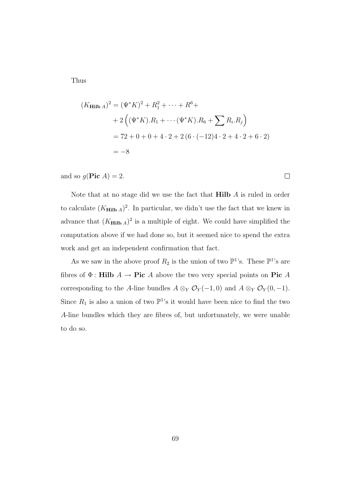Thus

$$
(K_{\mathbf{Hilb} A})^2 = (\Psi^* K)^2 + R_1^2 + \dots + R^6 +
$$
  
+ 2 ((\Psi^\* K).R\_1 + \dots + (\Psi^\* K).R\_6 + \sum R\_i.R\_j)  
= 72 + 0 + 0 + 4 \cdot 2 + 2 (6 \cdot (-12)4 \cdot 2 + 4 \cdot 2 + 6 \cdot 2)  
= -8

and so  $g(\text{Pic }A) = 2$ .

Note that at no stage did we use the fact that  $Hilb$  A is ruled in order to calculate  $(K_{\text{Hilb A}})^2$ . In particular, we didn't use the fact that we knew in advance that  $(K_{\text{Hilb A}})^2$  is a multiple of eight. We could have simplified the computation above if we had done so, but it seemed nice to spend the extra work and get an independent confirmation that fact.

As we saw in the above proof  $R_2$  is the union of two  $\mathbb{P}^1$ 's. These  $\mathbb{P}^1$ 's are fibres of  $\Phi$ : Hilb  $A \to \text{Pic } A$  above the two very special points on Pic A corresponding to the A-line bundles  $A \otimes_Y \mathcal{O}_Y(-1,0)$  and  $A \otimes_Y \mathcal{O}_Y(0,-1)$ . Since  $R_1$  is also a union of two  $\mathbb{P}^1$ 's it would have been nice to find the two A-line bundles which they are fibres of, but unfortunately, we were unable to do so.

 $\Box$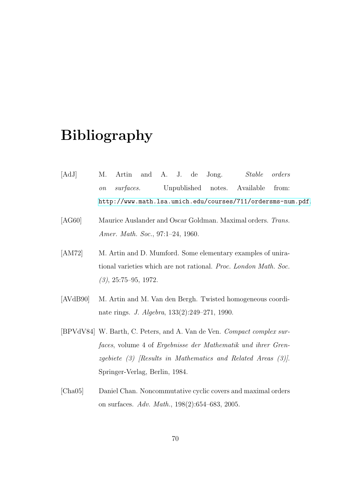## Bibliography

- [AdJ] M. Artin and A. J. de Jong. *Stable orders on surfaces.* Unpublished notes. Available from: <http://www.math.lsa.umich.edu/courses/711/ordersms-num.pdf>.
- [AG60] Maurice Auslander and Oscar Goldman. Maximal orders. *Trans. Amer. Math. Soc.*, 97:1–24, 1960.
- [AM72] M. Artin and D. Mumford. Some elementary examples of unirational varieties which are not rational. *Proc. London Math. Soc. (3)*, 25:75–95, 1972.
- [AVdB90] M. Artin and M. Van den Bergh. Twisted homogeneous coordinate rings. *J. Algebra*, 133(2):249–271, 1990.
- <span id="page-76-0"></span>[BPVdV84] W. Barth, C. Peters, and A. Van de Ven. *Compact complex surfaces*, volume 4 of *Ergebnisse der Mathematik und ihrer Grenzgebiete (3) [Results in Mathematics and Related Areas (3)]*. Springer-Verlag, Berlin, 1984.
- [Cha05] Daniel Chan. Noncommutative cyclic covers and maximal orders on surfaces. *Adv. Math.*, 198(2):654–683, 2005.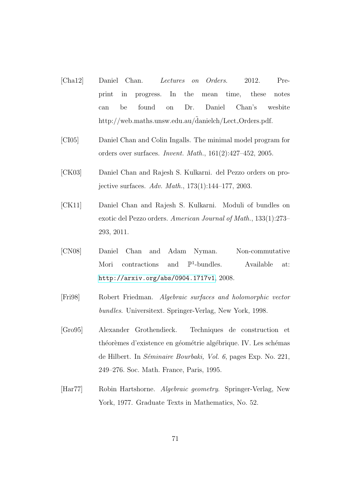- [Cha12] Daniel Chan. *Lectures on Orders*. 2012. Preprint in progress. In the mean time, these notes can be found on Dr. Daniel Chan's wesbite [http://web.maths.unsw.edu.au/dan](http://web.maths.unsw.edu.au/%CB%9Cd)ielch/Lect\_Orders.pdf.
- [CI05] Daniel Chan and Colin Ingalls. The minimal model program for orders over surfaces. *Invent. Math.*, 161(2):427–452, 2005.
- [CK03] Daniel Chan and Rajesh S. Kulkarni. del Pezzo orders on projective surfaces. *Adv. Math.*, 173(1):144–177, 2003.
- [CK11] Daniel Chan and Rajesh S. Kulkarni. Moduli of bundles on exotic del Pezzo orders. *American Journal of Math.*, 133(1):273– 293, 2011.
- [CN08] Daniel Chan and Adam Nyman. Non-commutative Mori contractions and  $\mathbb{P}^1$ -bundles. Available at: <http://arxiv.org/abs/0904.1717v1>, 2008.
- [Fri98] Robert Friedman. *Algebraic surfaces and holomorphic vector bundles*. Universitext. Springer-Verlag, New York, 1998.
- [Gro95] Alexander Grothendieck. Techniques de construction et théorèmes d'existence en géométrie algébrique. IV. Les schémas de Hilbert. In *Séminaire Bourbaki*, *Vol. 6*, pages Exp. No. 221, 249–276. Soc. Math. France, Paris, 1995.
- <span id="page-77-0"></span>[Har77] Robin Hartshorne. *Algebraic geometry*. Springer-Verlag, New York, 1977. Graduate Texts in Mathematics, No. 52.